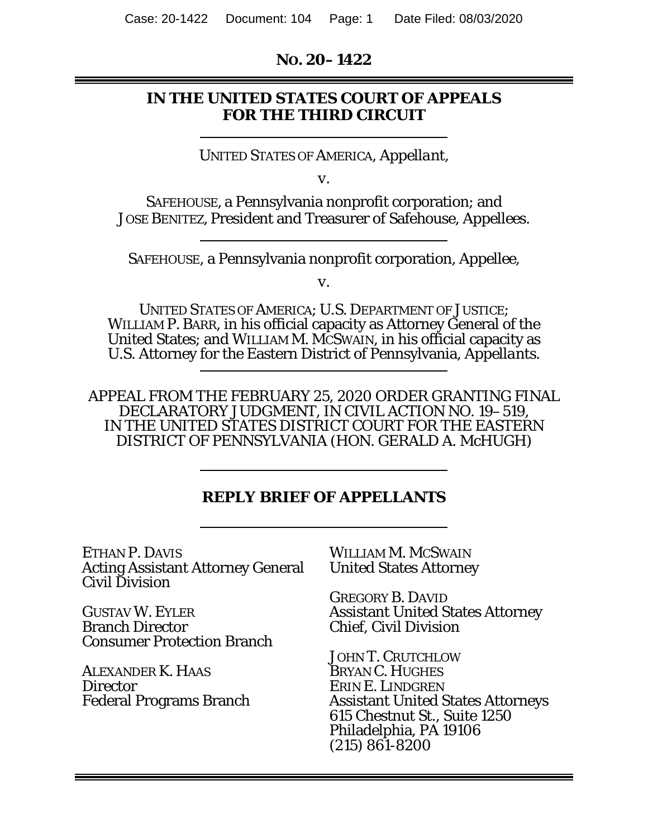#### **NO. 20–1422**

## **IN THE UNITED STATES COURT OF APPEALS FOR THE THIRD CIRCUIT**

UNITED STATES OF AMERICA, *Appellant*,

*v.* 

SAFEHOUSE, a Pennsylvania nonprofit corporation; and JOSE BENITEZ, President and Treasurer of Safehouse, *Appellees.* 

SAFEHOUSE, a Pennsylvania nonprofit corporation, *Appellee*,

*v.* 

UNITED STATES OF AMERICA; U.S. DEPARTMENT OF JUSTICE; WILLIAM P. BARR, in his official capacity as Attorney General of the United States; and WILLIAM M. MCSWAIN, in his official capacity as U.S. Attorney for the Eastern District of Pennsylvania, *Appellants.*

APPEAL FROM THE FEBRUARY 25, 2020 ORDER GRANTING FINAL DECLARATORY JUDGMENT, IN CIVIL ACTION NO. 19–519, IN THE UNITED STATES DISTRICT COURT FOR THE EASTERN DISTRICT OF PENNSYLVANIA (HON. GERALD A. McHUGH)

### **REPLY BRIEF OF APPELLANTS**

ETHAN P. DAVIS Acting Assistant Attorney General Civil Division

GUSTAV W. EYLER Branch Director Consumer Protection Branch

ALEXANDER K. HAAS **Director** Federal Programs Branch WILLIAM M. MCSWAIN United States Attorney

GREGORY B. DAVID Assistant United States Attorney Chief, Civil Division

JOHN T. CRUTCHLOW BRYAN C. HUGHES ERIN E. LINDGREN Assistant United States Attorneys 615 Chestnut St., Suite 1250 Philadelphia, PA 19106 (215) 861-8200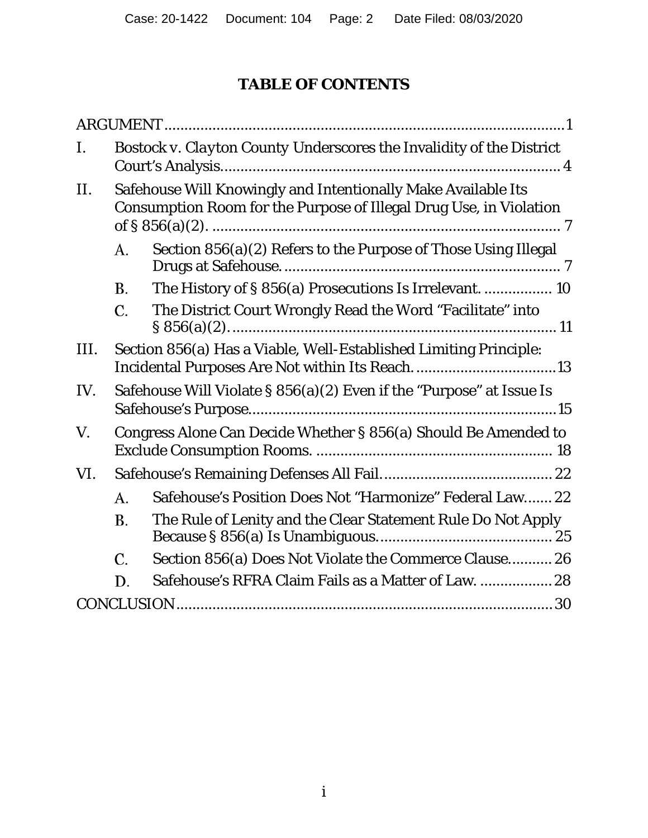# **TABLE OF CONTENTS**

| I.   |                                                                                                                                                           | <b>Bostock v. Clayton County Underscores the Invalidity of the District</b> |  |
|------|-----------------------------------------------------------------------------------------------------------------------------------------------------------|-----------------------------------------------------------------------------|--|
| II.  | Safehouse Will Knowingly and Intentionally Make Available Its<br>Consumption Room for the Purpose of Illegal Drug Use, in Violation<br>of § $856(a)(2)$ . |                                                                             |  |
|      | А.                                                                                                                                                        | Section 856(a)(2) Refers to the Purpose of Those Using Illegal              |  |
|      | <b>B.</b>                                                                                                                                                 | The History of § 856(a) Prosecutions Is Irrelevant.  10                     |  |
|      | C.                                                                                                                                                        | The District Court Wrongly Read the Word "Facilitate" into                  |  |
| III. |                                                                                                                                                           | Section 856(a) Has a Viable, Well-Established Limiting Principle:           |  |
| IV.  |                                                                                                                                                           | Safehouse Will Violate $\S 856(a)(2)$ Even if the "Purpose" at Issue Is     |  |
| V.   | Congress Alone Can Decide Whether § 856(a) Should Be Amended to                                                                                           |                                                                             |  |
| VI.  |                                                                                                                                                           |                                                                             |  |
|      | A.                                                                                                                                                        | Safehouse's Position Does Not "Harmonize" Federal Law 22                    |  |
|      | Β.                                                                                                                                                        | The Rule of Lenity and the Clear Statement Rule Do Not Apply                |  |
|      | C.                                                                                                                                                        | Section 856(a) Does Not Violate the Commerce Clause 26                      |  |
|      | D.                                                                                                                                                        | Safehouse's RFRA Claim Fails as a Matter of Law.  28                        |  |
|      |                                                                                                                                                           |                                                                             |  |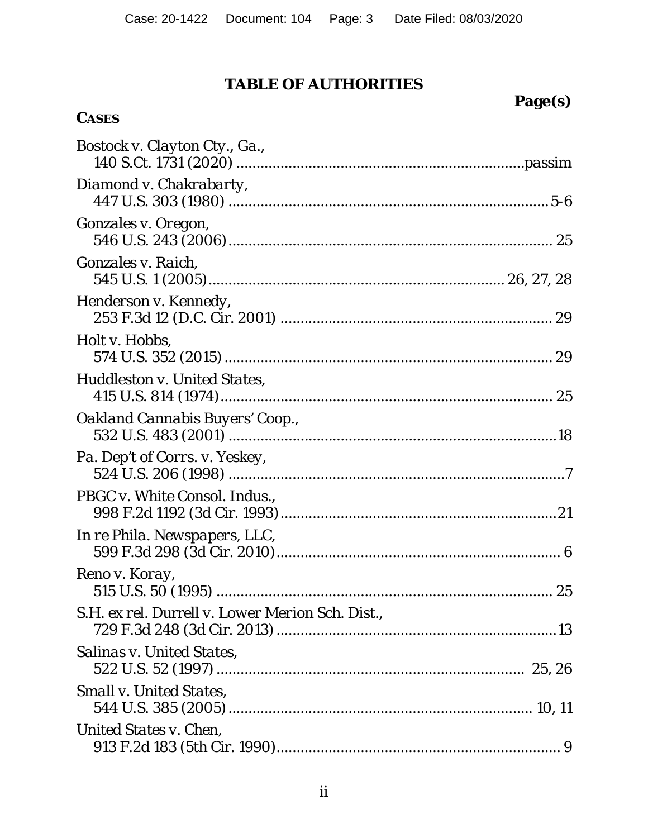# **TABLE OF AUTHORITIES**

# **Page(s)**

# **CASES**

| Bostock v. Clayton Cty., Ga.,                    |  |
|--------------------------------------------------|--|
| Diamond v. Chakrabarty,                          |  |
| <i>Gonzales v. Oregon,</i>                       |  |
| <i>Gonzales v. Raich,</i>                        |  |
| Henderson v. Kennedy,                            |  |
| Holt v. Hobbs,                                   |  |
| Huddleston v. United States,                     |  |
| Oakland Cannabis Buyers' Coop.,                  |  |
| Pa. Dep't of Corrs. v. Yeskey,                   |  |
| PBGC v. White Consol. Indus.,                    |  |
| In re Phila. Newspapers, LLC,                    |  |
| Reno v. Koray,                                   |  |
| S.H. ex rel. Durrell v. Lower Merion Sch. Dist., |  |
| <b>Salinas v. United States,</b>                 |  |
| <b>Small v. United States,</b>                   |  |
| United States v. Chen,                           |  |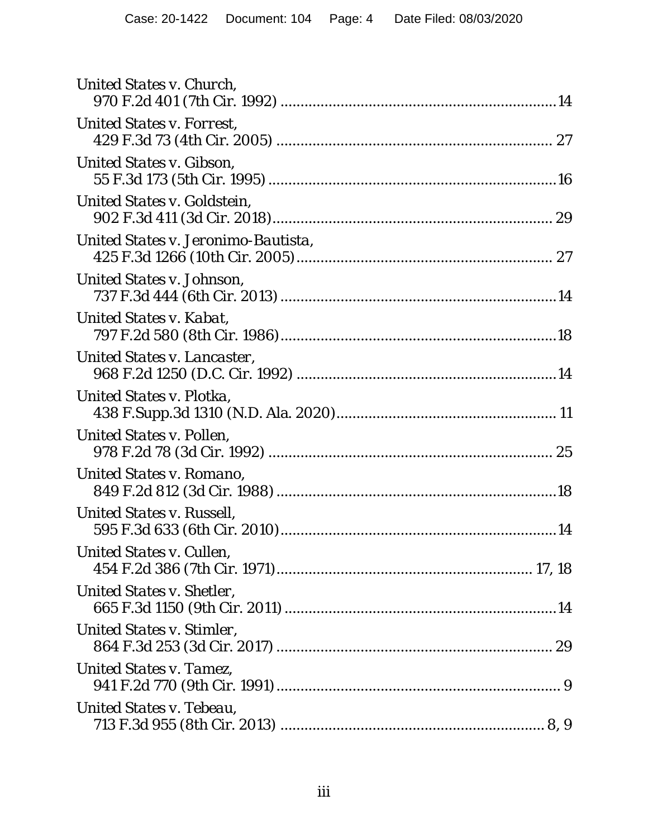| United States v. Church,            |
|-------------------------------------|
| United States v. Forrest,           |
| United States v. Gibson,            |
| United States v. Goldstein,         |
| United States v. Jeronimo-Bautista, |
| United States v. Johnson,           |
| United States v. Kabat,             |
| United States v. Lancaster,         |
| United States v. Plotka,            |
| United States v. Pollen,            |
| United States v. Romano,            |
| United States v. Russell,           |
| United States v. Cullen,            |
| United States v. Shetler,           |
| United States v. Stimler,           |
| United States v. Tamez,             |
| United States v. Tebeau,            |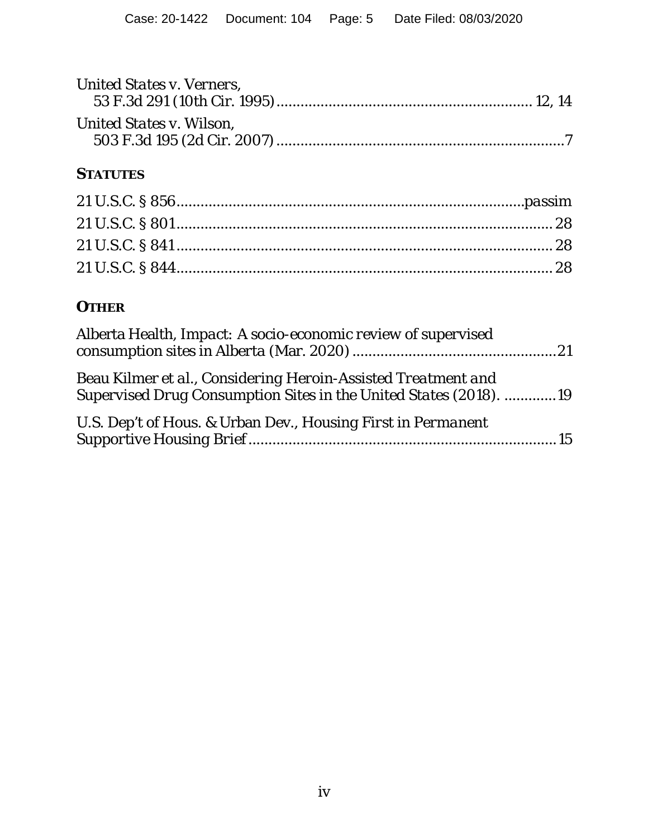| <b>United States v. Verners,</b> |  |
|----------------------------------|--|
| United States v. Wilson,         |  |
| <b>STATUTES</b>                  |  |
|                                  |  |
|                                  |  |
|                                  |  |

21 U.S.C. § 844 .............................................................................................. 28

# **OTHER**

| Alberta Health, Impact: A socio-economic review of supervised                                                                      |  |
|------------------------------------------------------------------------------------------------------------------------------------|--|
| Beau Kilmer et al., Considering Heroin-Assisted Treatment and<br>Supervised Drug Consumption Sites in the United States (2018). 19 |  |
| U.S. Dep't of Hous. & Urban Dev., Housing First in Permanent                                                                       |  |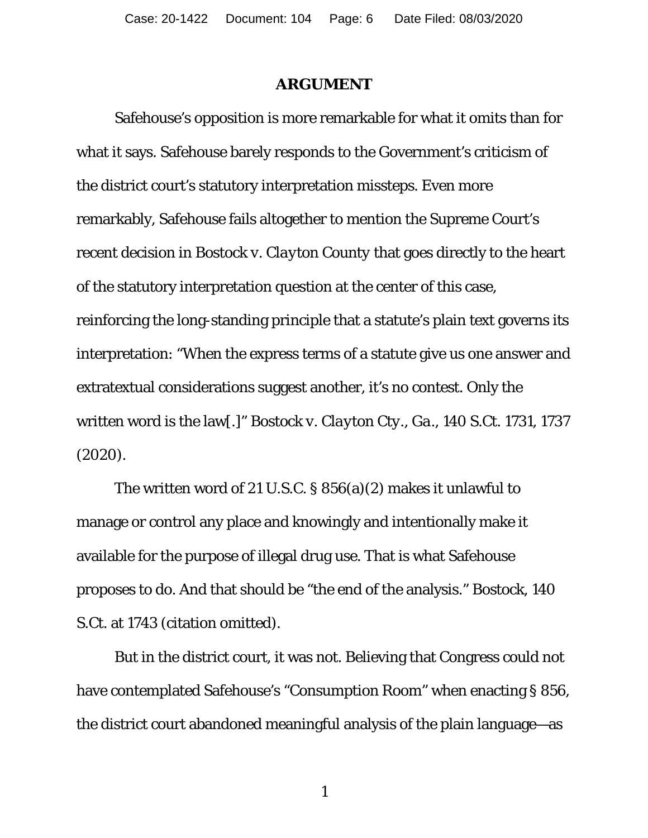#### **ARGUMENT**

Safehouse's opposition is more remarkable for what it omits than for what it says. Safehouse barely responds to the Government's criticism of the district court's statutory interpretation missteps. Even more remarkably, Safehouse fails altogether to mention the Supreme Court's recent decision in *Bostock v. Clayton County* that goes directly to the heart of the statutory interpretation question at the center of this case, reinforcing the long-standing principle that a statute's plain text governs its interpretation: "When the express terms of a statute give us one answer and extratextual considerations suggest another, it's no contest. Only the written word is the law[.]" *Bostock v. Clayton Cty., Ga.*, 140 S.Ct. 1731, 1737 (2020).

The written word of 21 U.S.C. § 856(a)(2) makes it unlawful to manage or control any place and knowingly and intentionally make it available for the purpose of illegal drug use. That is what Safehouse proposes to do. And that should be "the end of the analysis." *Bostock*, 140 S.Ct. at 1743 (citation omitted).

But in the district court, it was not. Believing that Congress could not have contemplated Safehouse's "Consumption Room" when enacting § 856, the district court abandoned meaningful analysis of the plain language—as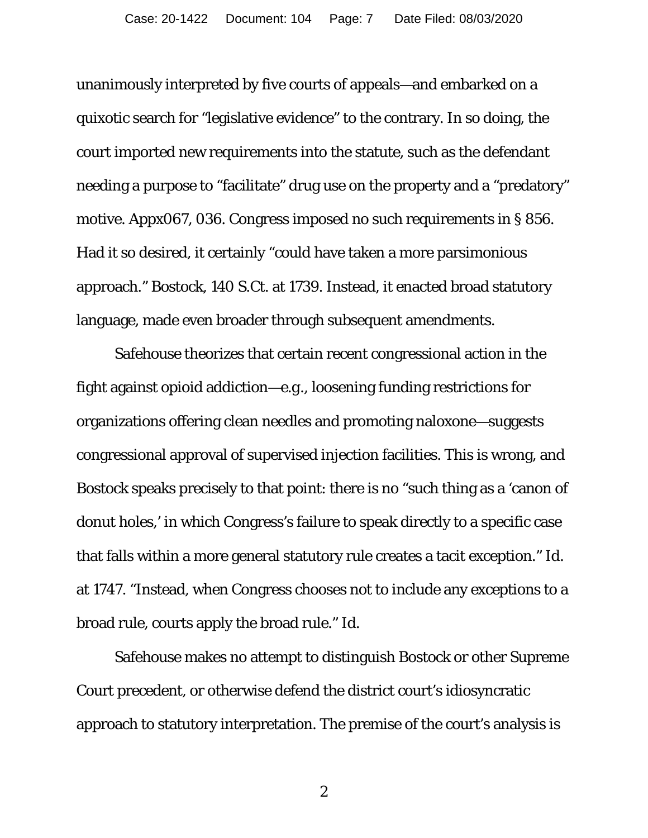unanimously interpreted by five courts of appeals—and embarked on a quixotic search for "legislative evidence" to the contrary. In so doing, the court imported new requirements into the statute, such as the defendant needing a purpose to "facilitate" drug use on the property and a "predatory" motive. Appx067, 036. Congress imposed no such requirements in § 856. Had it so desired, it certainly "could have taken a more parsimonious approach." *Bostock*, 140 S.Ct. at 1739. Instead, it enacted broad statutory language, made even broader through subsequent amendments.

Safehouse theorizes that certain recent congressional action in the fight against opioid addiction—*e.g.*, loosening funding restrictions for organizations offering clean needles and promoting naloxone—suggests congressional approval of supervised injection facilities. This is wrong, and *Bostock* speaks precisely to that point: there is no "such thing as a 'canon of donut holes,' in which Congress's failure to speak directly to a specific case that falls within a more general statutory rule creates a tacit exception." *Id*. at 1747. "Instead, when Congress chooses not to include any exceptions to a broad rule, courts apply the broad rule." *Id*.

Safehouse makes no attempt to distinguish *Bostock* or other Supreme Court precedent, or otherwise defend the district court's idiosyncratic approach to statutory interpretation. The premise of the court's analysis is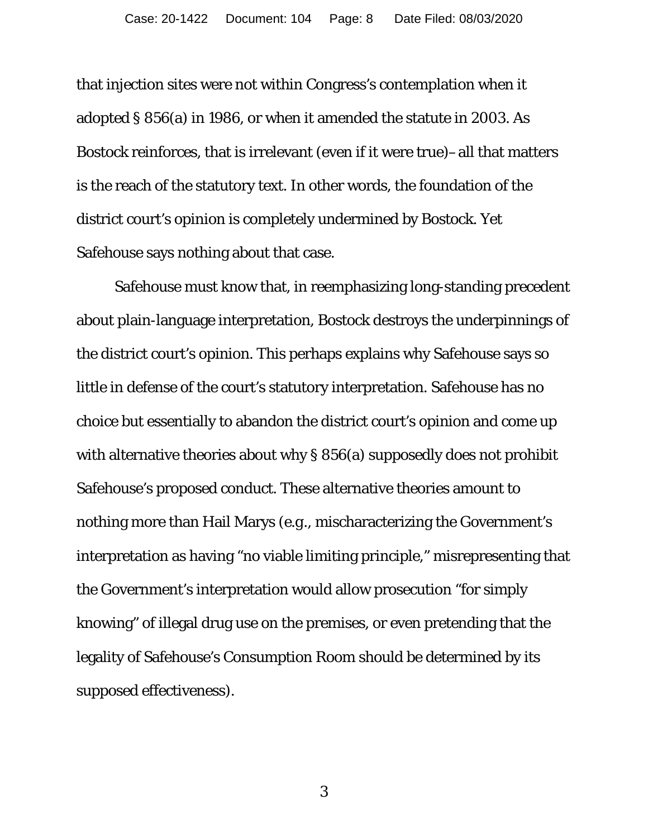that injection sites were not within Congress's contemplation when it adopted § 856(a) in 1986, or when it amended the statute in 2003. As *Bostock* reinforces, that is irrelevant (even if it were true)–all that matters is the reach of the statutory text. In other words, the foundation of the district court's opinion is completely undermined by *Bostock*. Yet Safehouse says nothing about that case.

Safehouse must know that, in reemphasizing long-standing precedent about plain-language interpretation, *Bostock* destroys the underpinnings of the district court's opinion. This perhaps explains why Safehouse says so little in defense of the court's statutory interpretation. Safehouse has no choice but essentially to abandon the district court's opinion and come up with alternative theories about why § 856(a) supposedly does not prohibit Safehouse's proposed conduct. These alternative theories amount to nothing more than Hail Marys (*e.g.*, mischaracterizing the Government's interpretation as having "no viable limiting principle," misrepresenting that the Government's interpretation would allow prosecution "for simply knowing" of illegal drug use on the premises, or even pretending that the legality of Safehouse's Consumption Room should be determined by its supposed effectiveness).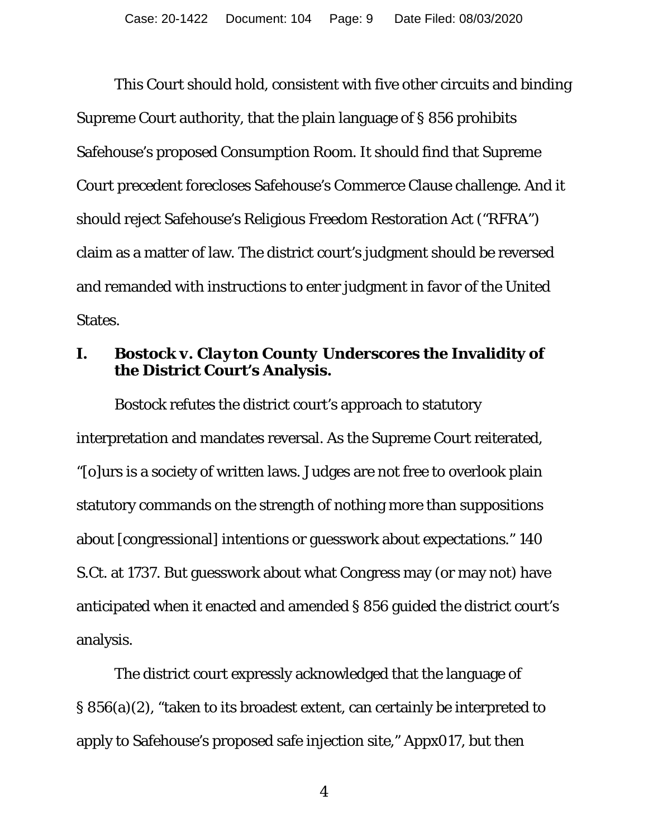This Court should hold, consistent with five other circuits and binding Supreme Court authority, that the plain language of § 856 prohibits Safehouse's proposed Consumption Room. It should find that Supreme Court precedent forecloses Safehouse's Commerce Clause challenge. And it should reject Safehouse's Religious Freedom Restoration Act ("RFRA") claim as a matter of law. The district court's judgment should be reversed and remanded with instructions to enter judgment in favor of the United States.

## **I.** *Bostock v. Clayton County* **Underscores the Invalidity of the District Court's Analysis.**

*Bostock* refutes the district court's approach to statutory interpretation and mandates reversal. As the Supreme Court reiterated, "[o]urs is a society of written laws. Judges are not free to overlook plain statutory commands on the strength of nothing more than suppositions about [congressional] intentions or guesswork about expectations." 140 S.Ct. at 1737. But guesswork about what Congress may (or may not) have anticipated when it enacted and amended § 856 guided the district court's analysis.

The district court expressly acknowledged that the language of § 856(a)(2), "taken to its broadest extent, can certainly be interpreted to apply to Safehouse's proposed safe injection site," Appx017, but then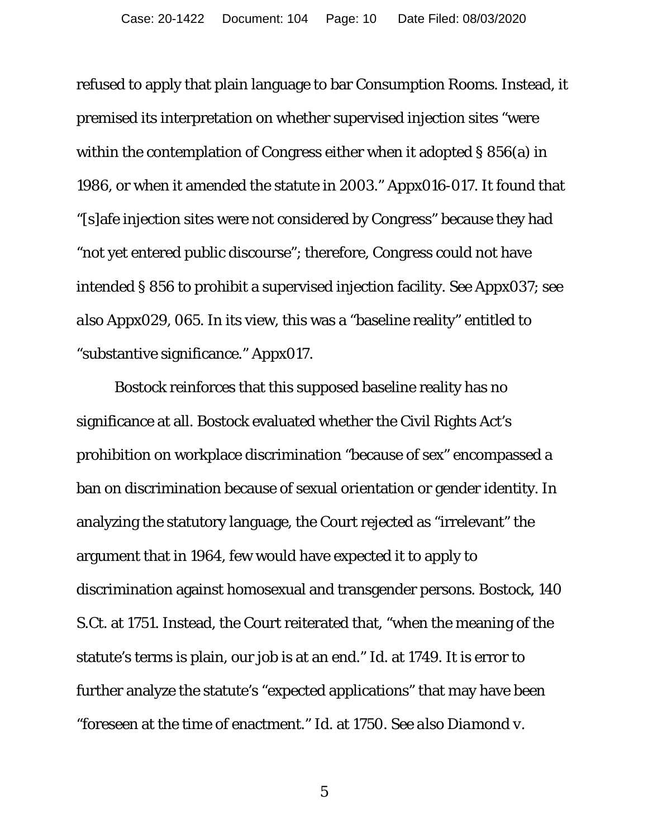refused to apply that plain language to bar Consumption Rooms. Instead, it premised its interpretation on whether supervised injection sites "were within the contemplation of Congress either when it adopted § 856(a) in 1986, or when it amended the statute in 2003." Appx016-017. It found that "[s]afe injection sites were not considered by Congress" because they had "not yet entered public discourse"; therefore, Congress could not have intended § 856 to prohibit a supervised injection facility. *See* Appx037; *see also* Appx029, 065. In its view, this was a "baseline reality" entitled to "substantive significance." Appx017.

*Bostock* reinforces that this supposed baseline reality has no significance at all. *Bostock* evaluated whether the Civil Rights Act's prohibition on workplace discrimination "because of sex" encompassed a ban on discrimination because of sexual orientation or gender identity. In analyzing the statutory language, the Court rejected as "irrelevant" the argument that in 1964, few would have expected it to apply to discrimination against homosexual and transgender persons. *Bostock*, 140 S.Ct. at 1751. Instead, the Court reiterated that, "when the meaning of the statute's terms is plain, our job is at an end." *Id*. at 1749. It is error to further analyze the statute's "expected applications" that may have been "foreseen at the time of enactment." *Id.* at 1750. *See also Diamond v.*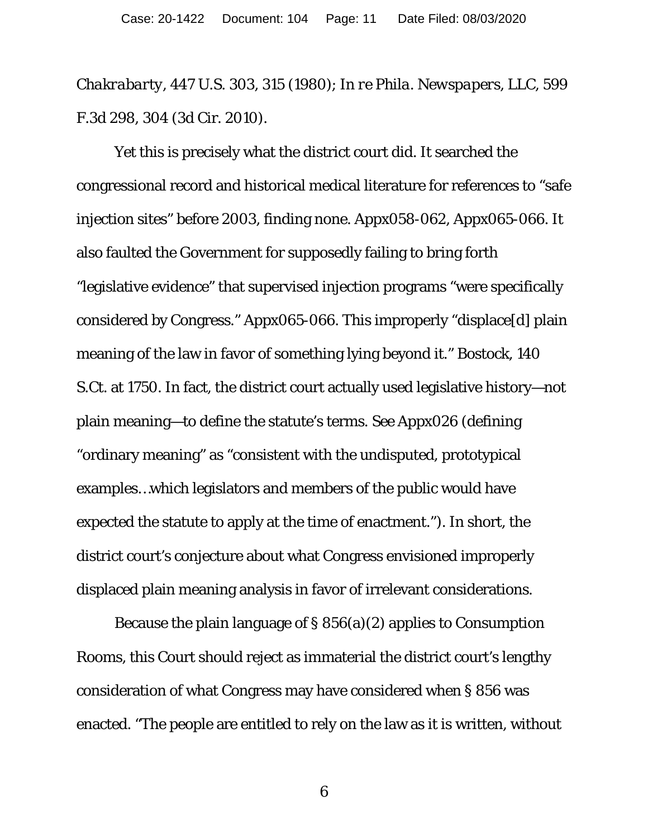*Chakrabarty*, 447 U.S. 303, 315 (1980); *In re Phila. Newspapers, LLC*, 599 F.3d 298, 304 (3d Cir. 2010).

Yet this is precisely what the district court did. It searched the congressional record and historical medical literature for references to "safe injection sites" before 2003, finding none. Appx058-062, Appx065-066. It also faulted the Government for supposedly failing to bring forth "legislative evidence" that supervised injection programs "were specifically considered by Congress." Appx065-066. This improperly "displace[d] plain meaning of the law in favor of something lying beyond it." *Bostock*, 140 S.Ct. at 1750. In fact, the district court actually used legislative history—not plain meaning—to define the statute's terms. *See* Appx026 (defining "ordinary meaning" as "consistent with the undisputed, prototypical examples…which legislators and members of the public would have expected the statute to apply at the time of enactment."). In short, the district court's conjecture about what Congress envisioned improperly displaced plain meaning analysis in favor of irrelevant considerations.

Because the plain language of § 856(a)(2) applies to Consumption Rooms, this Court should reject as immaterial the district court's lengthy consideration of what Congress may have considered when § 856 was enacted. "The people are entitled to rely on the law as it is written, without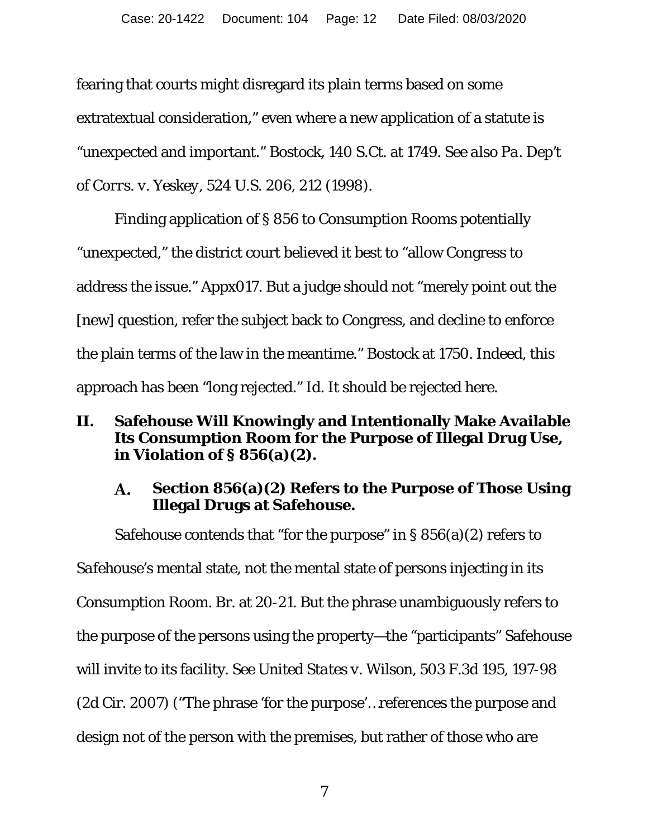fearing that courts might disregard its plain terms based on some extratextual consideration," even where a new application of a statute is "unexpected and important." *Bostock*, 140 S.Ct. at 1749. *See also Pa. Dep't of Corrs. v. Yeskey*, 524 U.S. 206, 212 (1998).

Finding application of § 856 to Consumption Rooms potentially "unexpected," the district court believed it best to "allow Congress to address the issue." Appx017. But a judge should not "merely point out the [new] question, refer the subject back to Congress, and decline to enforce the plain terms of the law in the meantime." *Bostock* at 1750. Indeed, this approach has been "long rejected." *Id.* It should be rejected here.

## **II. Safehouse Will Knowingly and Intentionally Make Available Its Consumption Room for the Purpose of Illegal Drug Use, in Violation of § 856(a)(2).**

#### **Section 856(a)(2) Refers to the Purpose of Those Using A. Illegal Drugs at Safehouse.**

Safehouse contends that "for the purpose" in  $\S 856(a)(2)$  refers to *Safehouse*'s mental state, not the mental state of persons injecting in its Consumption Room. Br. at 20-21. But the phrase unambiguously refers to the purpose of the persons using the property—the "participants" Safehouse will invite to its facility. *See United States v. Wilson*, 503 F.3d 195, 197-98 (2d Cir. 2007) ("The phrase 'for the purpose'…references the purpose and design *not* of the person with the premises, but rather of those who are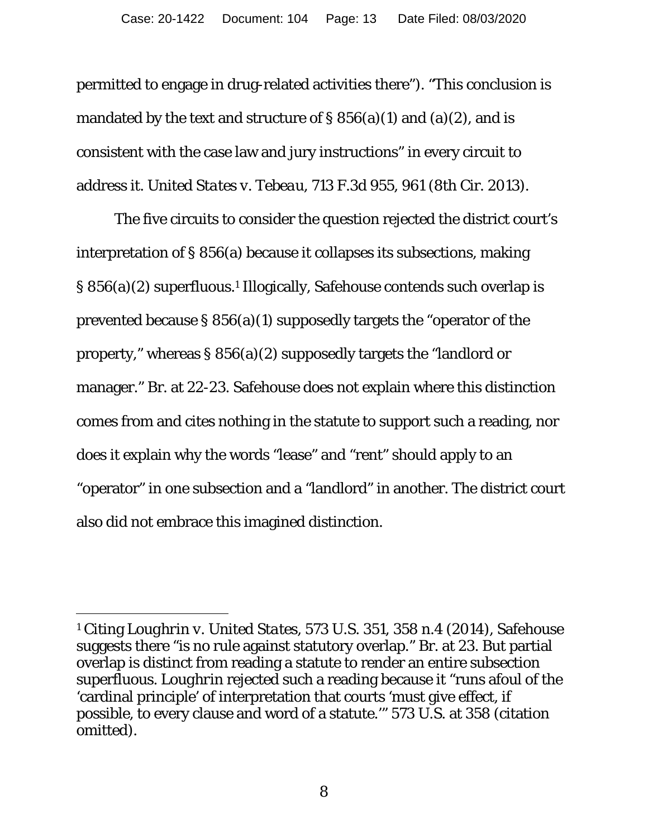permitted to engage in drug-related activities there"). "This conclusion is mandated by the text and structure of  $\S 856(a)(1)$  and  $(a)(2)$ , and is consistent with the case law and jury instructions" in every circuit to address it. *United States v. Tebeau*, 713 F.3d 955, 961 (8th Cir. 2013).

The five circuits to consider the question rejected the district court's interpretation of § 856(a) because it collapses its subsections, making § 856(a)(2) superfluous.1 Illogically, Safehouse contends such overlap is prevented because § 856(a)(1) supposedly targets the "operator of the property," whereas § 856(a)(2) supposedly targets the "landlord or manager." Br. at 22-23. Safehouse does not explain where this distinction comes from and cites nothing in the statute to support such a reading, nor does it explain why the words "lease" and "rent" should apply to an "operator" in one subsection and a "landlord" in another. The district court also did not embrace this imagined distinction.

 $\overline{a}$ 

<sup>1</sup> Citing *Loughrin v. United States*, 573 U.S. 351, 358 n.4 (2014), Safehouse suggests there "is no rule against statutory overlap." Br. at 23. But partial overlap is distinct from reading a statute to render an entire subsection superfluous. *Loughrin* rejected such a reading because it "runs afoul of the 'cardinal principle' of interpretation that courts 'must give effect, if possible, to every clause and word of a statute.'" 573 U.S. at 358 (citation omitted).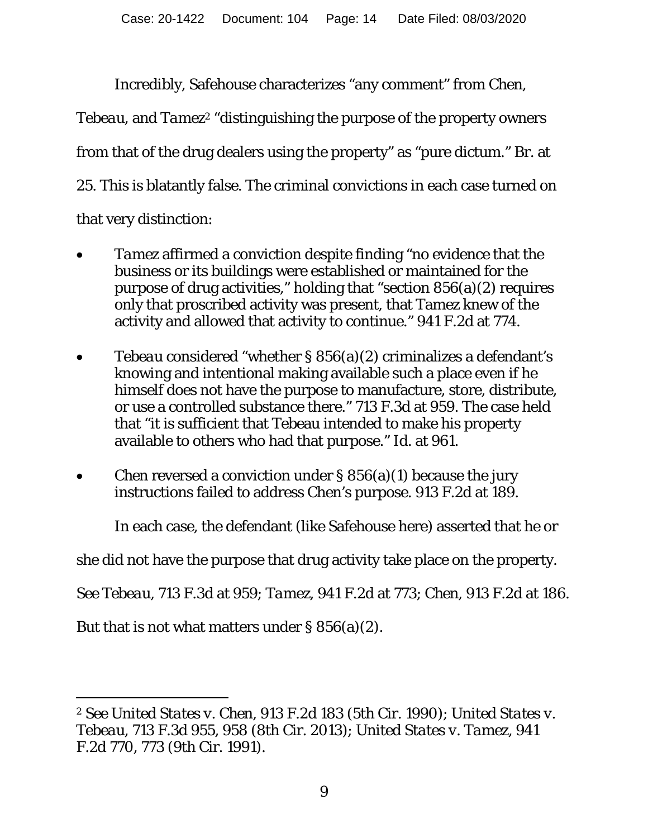Incredibly, Safehouse characterizes "any comment" from *Chen*,

*Tebeau*, and *Tamez*<sup>2</sup> "distinguishing the purpose of the property owners from that of the drug dealers using the property" as "pure dictum." Br. at 25. This is blatantly false. The criminal convictions in each case turned on that very distinction:

- *Tamez* affirmed a conviction despite finding "no evidence that the business or its buildings were established or maintained for the purpose of drug activities," holding that "section 856(a)(2) requires only that proscribed activity was present, that Tamez knew of the activity and allowed that activity to continue." 941 F.2d at 774.
- *Tebeau* considered "whether § 856(a)(2) criminalizes a defendant's knowing and intentional making available such a place even if he himself does not have the purpose to manufacture, store, distribute, or use a controlled substance there." 713 F.3d at 959. The case held that "it is sufficient that Tebeau intended to make his property available to others who had that purpose." *Id.* at 961.
- *Chen* reversed a conviction under § 856(a)(1) because the jury instructions failed to address Chen's purpose. 913 F.2d at 189.

In each case, the defendant (like Safehouse here) asserted that he or

she did not have the purpose that drug activity take place on the property.

*See Tebeau*, 713 F.3d at 959; *Tamez*, 941 F.2d at 773; *Chen*, 913 F.2d at 186.

But that is not what matters under § 856(a)(2).

<sup>&</sup>lt;u>.</u> <sup>2</sup> *See United States v. Chen*, 913 F.2d 183 (5th Cir. 1990); *United States v. Tebeau*, 713 F.3d 955, 958 (8th Cir. 2013); *United States v. Tamez*, 941 F.2d 770, 773 (9th Cir. 1991).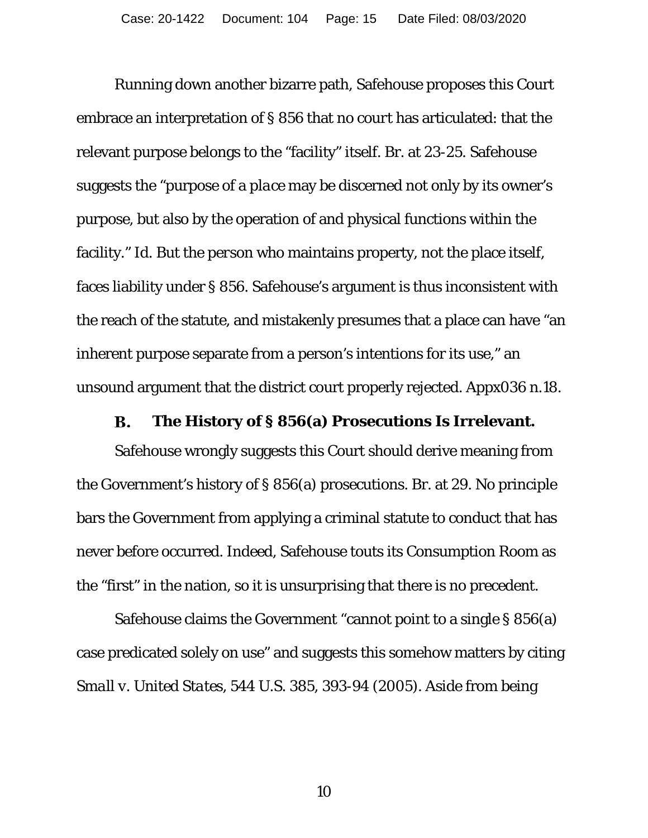Running down another bizarre path, Safehouse proposes this Court embrace an interpretation of § 856 that *no court* has articulated: that the relevant purpose belongs to the "facility" itself. Br. at 23-25. Safehouse suggests the "purpose of a *place* may be discerned not only by its owner's purpose, but also by the operation of and physical functions within the facility." *Id*. But the *person* who maintains property, not the place itself, faces liability under § 856. Safehouse's argument is thus inconsistent with the reach of the statute, and mistakenly presumes that a place can have "an inherent purpose separate from a person's intentions for its use," an unsound argument that the district court properly rejected. Appx036 n.18.

#### **B. The History of § 856(a) Prosecutions Is Irrelevant.**

Safehouse wrongly suggests this Court should derive meaning from the Government's history of § 856(a) prosecutions. Br. at 29. No principle bars the Government from applying a criminal statute to conduct that has never before occurred. Indeed, Safehouse touts its Consumption Room as the "first" in the nation, so it is unsurprising that there is no precedent.

Safehouse claims the Government "cannot point to a single § 856(a) case predicated solely on use" and suggests this somehow matters by citing *Small v. United States*, 544 U.S. 385, 393-94 (2005). Aside from being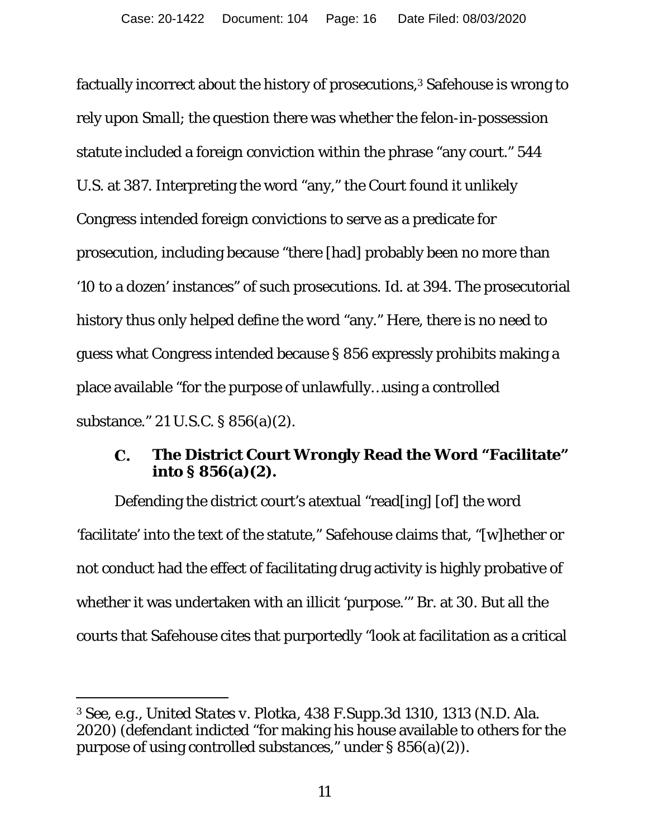factually incorrect about the history of prosecutions,<sup>3</sup> Safehouse is wrong to rely upon *Small*; the question there was whether the felon-in-possession statute included a foreign conviction within the phrase "any court." 544 U.S. at 387. Interpreting the word "any," the Court found it unlikely Congress intended foreign convictions to serve as a predicate for prosecution, including because "there [had] probably been no more than '10 to a dozen' instances" of such prosecutions. *Id*. at 394. The prosecutorial history thus only helped define the word "any." Here, there is no need to guess what Congress intended because § 856 expressly prohibits making a place available "for the purpose of unlawfully…using a controlled substance." 21 U.S.C. § 856(a)(2).

#### **The District Court Wrongly Read the Word "Facilitate"**   $\mathbf{C}$ . **into § 856(a)(2).**

Defending the district court's atextual "read[ing] [of] the word 'facilitate' into the text of the statute," Safehouse claims that, "[w]hether or not conduct had the effect of facilitating drug activity is highly probative of whether it was undertaken with an illicit 'purpose.'" Br. at 30. But all the courts that Safehouse cites that purportedly "look at facilitation as a critical

 $\overline{a}$ 

<sup>3</sup> *See, e.g.*, *United States v. Plotka*, 438 F.Supp.3d 1310, 1313 (N.D. Ala. 2020) (defendant indicted "for making his house available to others for the purpose of using controlled substances," under § 856(a)(2)).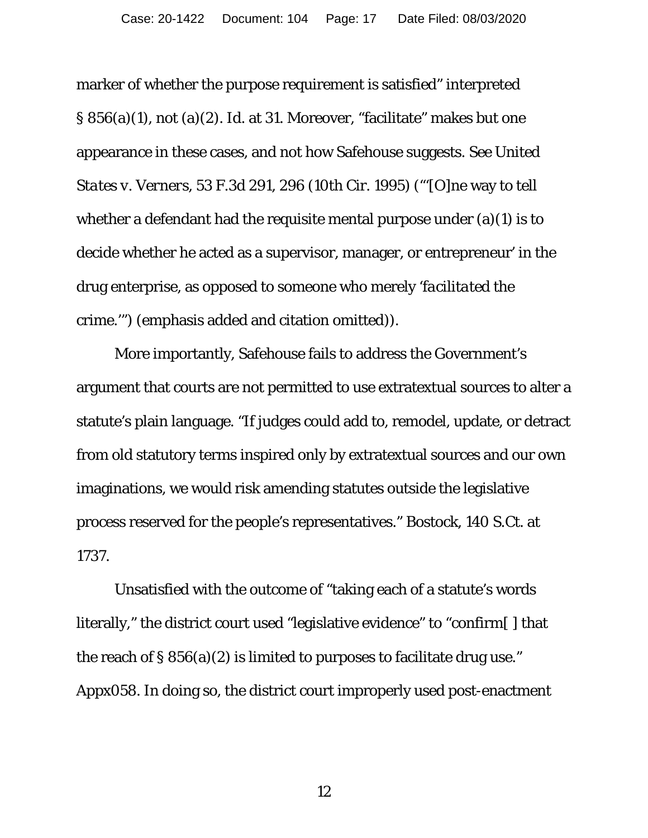marker of whether the purpose requirement is satisfied" interpreted § 856(a)(1), not (a)(2). *Id*. at 31. Moreover, "facilitate" makes but one appearance in these cases, and not how Safehouse suggests. *See United States v. Verners*, 53 F.3d 291, 296 (10th Cir. 1995) ("'[O]ne way to tell whether a defendant had the requisite mental purpose under (a)(1) is to decide whether he acted as a supervisor, manager, or entrepreneur' in the drug enterprise, as opposed to someone who merely '*facilitated* the crime.'") (emphasis added and citation omitted)).

More importantly, Safehouse fails to address the Government's argument that courts are not permitted to use extratextual sources to alter a statute's plain language. "If judges could add to, remodel, update, or detract from old statutory terms inspired only by extratextual sources and our own imaginations, we would risk amending statutes outside the legislative process reserved for the people's representatives." *Bostock*, 140 S.Ct. at 1737.

Unsatisfied with the outcome of "taking each of a statute's words literally," the district court used "legislative evidence" to "confirm[ ] that the reach of  $\S 856(a)(2)$  is limited to purposes to facilitate drug use." Appx058. In doing so, the district court improperly used *post*-enactment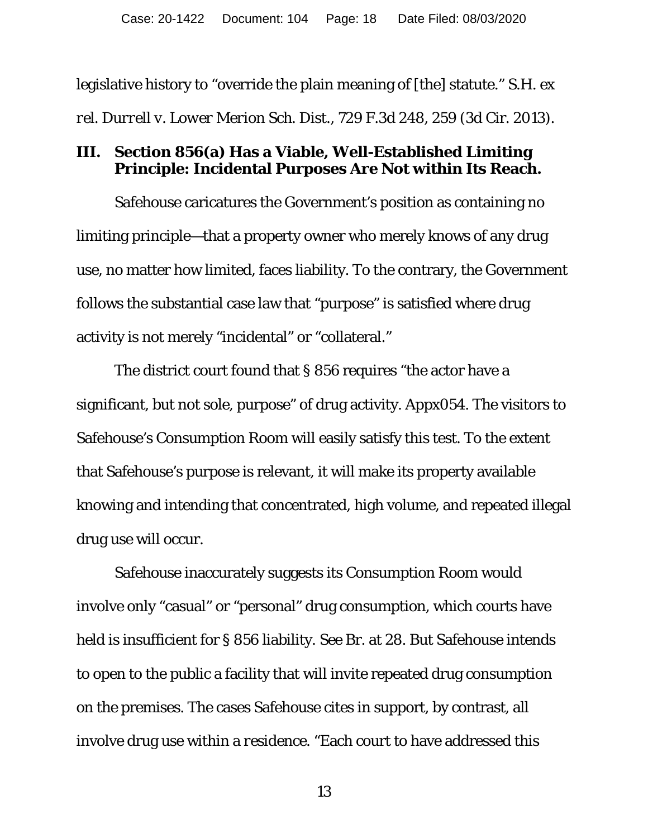legislative history to "override the plain meaning of [the] statute." *S.H. ex rel. Durrell v. Lower Merion Sch. Dist.*, 729 F.3d 248, 259 (3d Cir. 2013).

### **III. Section 856(a) Has a Viable, Well-Established Limiting Principle: Incidental Purposes Are Not within Its Reach.**

Safehouse caricatures the Government's position as containing no limiting principle—that a property owner who merely knows of any drug use, no matter how limited, faces liability. To the contrary, the Government follows the substantial case law that "purpose" is satisfied where drug activity is not merely "incidental" or "collateral."

The district court found that § 856 requires "the actor have a significant, but not sole, purpose" of drug activity. Appx054. The visitors to Safehouse's Consumption Room will easily satisfy this test. To the extent that Safehouse's purpose is relevant, it will make its property available knowing and intending that concentrated, high volume, and repeated illegal drug use will occur.

Safehouse inaccurately suggests its Consumption Room would involve only "casual" or "personal" drug consumption, which courts have held is insufficient for § 856 liability. *See* Br. at 28. But Safehouse intends to open to the public a facility that will invite repeated drug consumption on the premises. The cases Safehouse cites in support, by contrast, all involve drug use within a *residence.* "Each court to have addressed this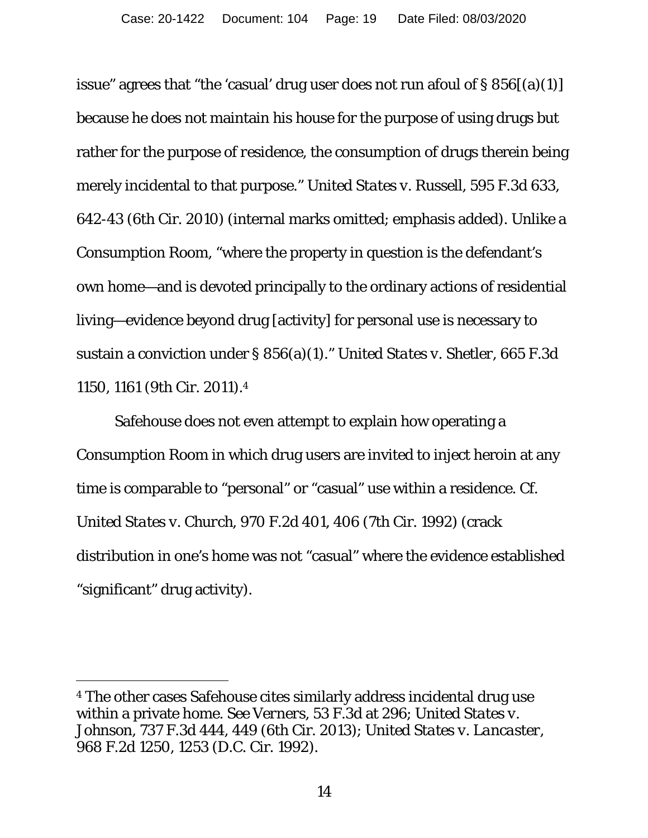issue" agrees that "the 'casual' drug user does not run afoul of  $\S 856[(a)(1)]$ because he does not maintain *his house* for the purpose of using drugs but rather for the purpose of *residence*, the consumption of drugs therein being merely incidental to that purpose." *United States v. Russell*, 595 F.3d 633, 642-43 (6th Cir. 2010) (internal marks omitted; emphasis added). Unlike a Consumption Room, "where the property in question is the defendant's own home—and is devoted principally to the ordinary actions of residential living—evidence beyond drug [activity] for personal use is necessary to sustain a conviction under § 856(a)(1)." *United States v. Shetler*, 665 F.3d 1150, 1161 (9th Cir. 2011).4

Safehouse does not even attempt to explain how operating a Consumption Room in which drug users are invited to inject heroin at any time is comparable to "personal" or "casual" use within a residence. *Cf. United States v. Church*, 970 F.2d 401, 406 (7th Cir. 1992) (crack distribution in one's home was *not* "casual" where the evidence established "significant" drug activity).

<sup>4</sup> The other cases Safehouse cites similarly address incidental drug use within a private home. *See Verners*, 53 F.3d at 296; *United States v. Johnson*, 737 F.3d 444, 449 (6th Cir. 2013); *United States v. Lancaster*, 968 F.2d 1250, 1253 (D.C. Cir. 1992).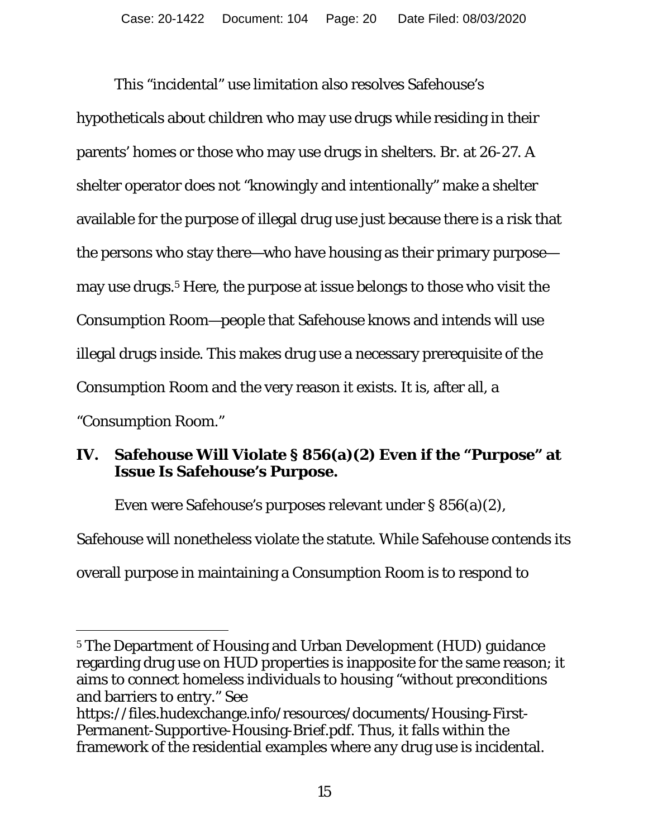This "incidental" use limitation also resolves Safehouse's hypotheticals about children who may use drugs while residing in their parents' homes or those who may use drugs in shelters. Br. at 26-27. A shelter operator does not "knowingly and intentionally" make a shelter available for the purpose of illegal drug use just because there is a risk that the persons who stay there—who have housing as their primary purpose may use drugs.<sup>5</sup> Here, the purpose at issue belongs to those who visit the Consumption Room—people that Safehouse knows and intends will use illegal drugs inside. This makes drug use a necessary prerequisite of the Consumption Room and the very reason it exists. It is, after all, a "Consumption Room."

# **IV. Safehouse Will Violate § 856(a)(2) Even if the "Purpose" at Issue Is Safehouse's Purpose.**

Even were Safehouse's purposes relevant under § 856(a)(2),

Safehouse will nonetheless violate the statute. While Safehouse contends its overall purpose in maintaining a Consumption Room is to respond to

<sup>1</sup> 5 The Department of Housing and Urban Development (HUD) guidance regarding drug use on HUD properties is inapposite for the same reason; it aims to connect homeless individuals to housing "without preconditions and barriers to entry." *See* 

https://files.hudexchange.info/resources/documents/Housing-First-Permanent-Supportive-Housing-Brief.pdf. Thus, it falls within the framework of the residential examples where any drug use is incidental.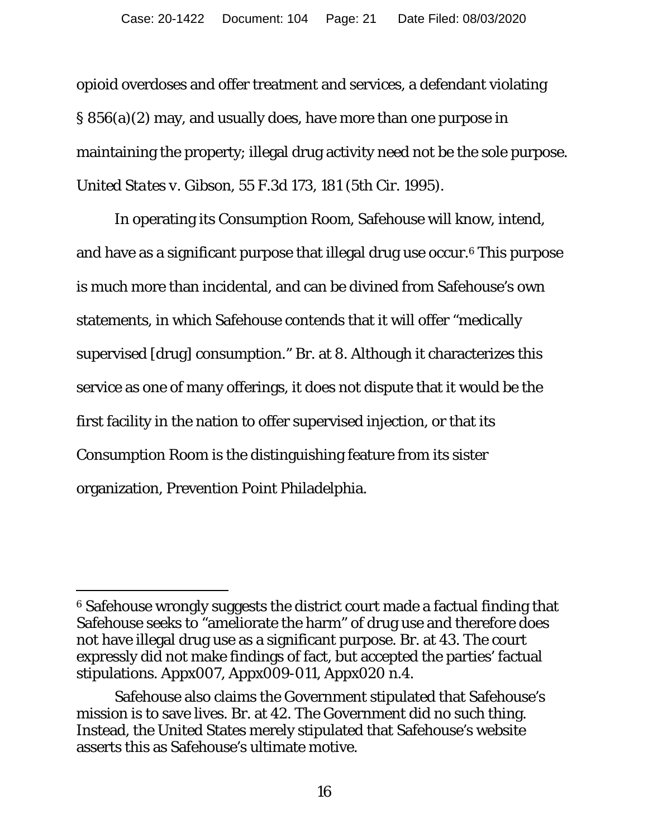opioid overdoses and offer treatment and services, a defendant violating § 856(a)(2) may, and usually does, have more than one purpose in maintaining the property; illegal drug activity need not be the sole purpose. *United States v. Gibson*, 55 F.3d 173, 181 (5th Cir. 1995).

In operating its Consumption Room, Safehouse will know, intend, and have as a significant purpose that illegal drug use occur.6 This purpose is much more than incidental, and can be divined from Safehouse's own statements, in which Safehouse contends that it will offer "medically supervised [drug] consumption." Br. at 8. Although it characterizes this service as one of many offerings, it does not dispute that it would be the first facility in the nation to offer supervised injection, or that its Consumption Room is the distinguishing feature from its sister organization, Prevention Point Philadelphia.

 $\overline{a}$ 

<sup>6</sup> Safehouse wrongly suggests the district court made a factual finding that Safehouse seeks to "ameliorate the harm" of drug use and therefore does not have illegal drug use as a significant purpose. Br. at 43. The court expressly did not make findings of fact, but accepted the parties' factual stipulations. Appx007, Appx009-011, Appx020 n.4.

Safehouse also claims the Government stipulated that Safehouse's mission is to save lives. Br. at 42. The Government did no such thing. Instead, the United States merely stipulated that Safehouse's website asserts this as Safehouse's ultimate motive.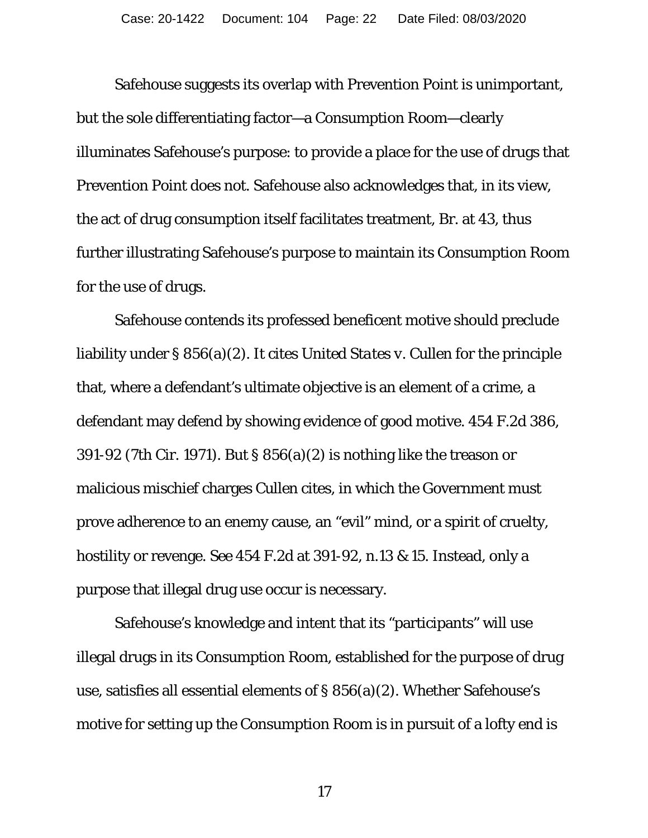Safehouse suggests its overlap with Prevention Point is unimportant, but the *sole* differentiating factor—a Consumption Room—clearly illuminates Safehouse's purpose: to provide a place for the use of drugs that Prevention Point does not. Safehouse also acknowledges that, in its view, the act of drug consumption itself facilitates treatment, Br. at 43, thus further illustrating Safehouse's purpose to maintain its Consumption Room for the use of drugs.

Safehouse contends its professed beneficent motive should preclude liability under § 856(a)(2). It cites *United States v. Cullen* for the principle that, where a defendant's ultimate objective is an element of a crime, a defendant may defend by showing evidence of good motive. 454 F.2d 386, 391-92 (7th Cir. 1971). But § 856(a)(2) is nothing like the treason or malicious mischief charges *Cullen* cites, in which the Government must prove adherence to an enemy cause, an "evil" mind, or a spirit of cruelty, hostility or revenge. *See* 454 F.2d at 391-92, n.13 & 15. Instead, only a purpose that illegal drug use occur is necessary.

Safehouse's knowledge and intent that its "participants" will use illegal drugs in its Consumption Room, established for the purpose of drug use, satisfies all essential elements of § 856(a)(2). Whether Safehouse's motive for setting up the Consumption Room is in pursuit of a lofty end is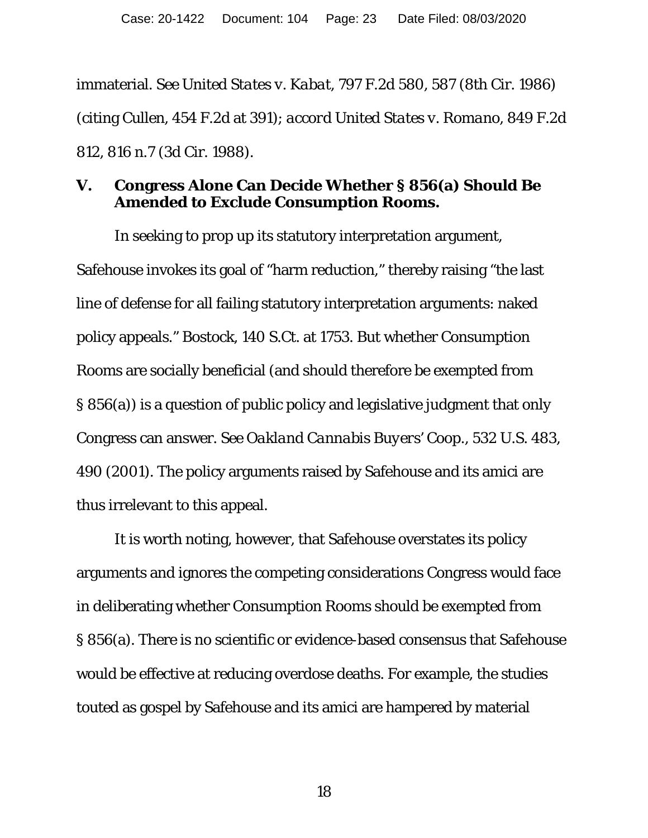immaterial. *See United States v. Kabat*, 797 F.2d 580, 587 (8th Cir. 1986) (citing *Cullen*, 454 F.2d at 391); *accord United States v. Romano*, 849 F.2d 812, 816 n.7 (3d Cir. 1988).

### **V. Congress Alone Can Decide Whether § 856(a) Should Be Amended to Exclude Consumption Rooms.**

In seeking to prop up its statutory interpretation argument, Safehouse invokes its goal of "harm reduction," thereby raising "the last line of defense for all failing statutory interpretation arguments: naked policy appeals." *Bostock*, 140 S.Ct. at 1753. But whether Consumption Rooms are socially beneficial (and should therefore be exempted from § 856(a)) is a question of public policy and legislative judgment that only Congress can answer. *See Oakland Cannabis Buyers' Coop.*, 532 U.S. 483, 490 (2001). The policy arguments raised by Safehouse and its amici are thus irrelevant to this appeal.

It is worth noting, however, that Safehouse overstates its policy arguments and ignores the competing considerations Congress would face in deliberating whether Consumption Rooms should be exempted from § 856(a). There is no scientific or evidence-based consensus that Safehouse would be effective at reducing overdose deaths. For example, the studies touted as gospel by Safehouse and its amici are hampered by material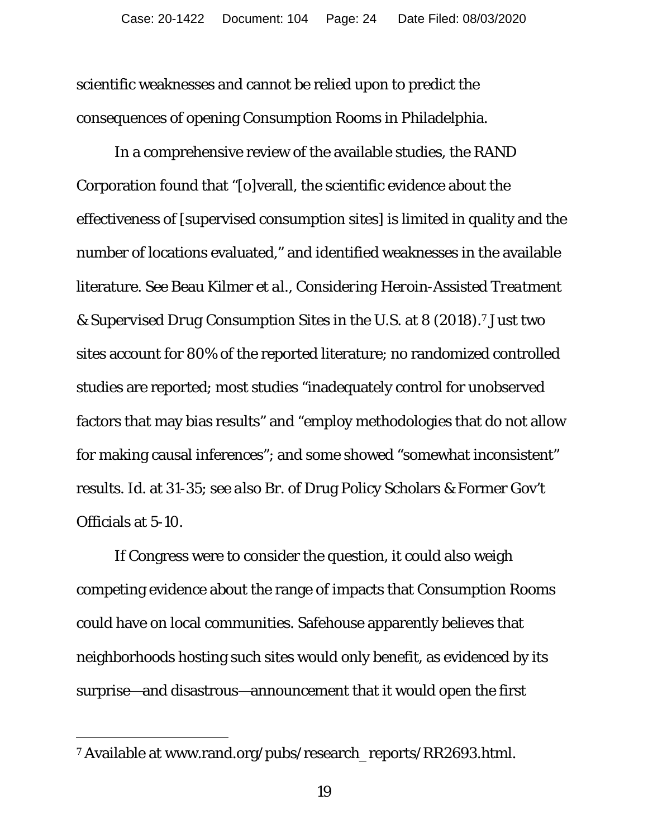scientific weaknesses and cannot be relied upon to predict the consequences of opening Consumption Rooms in Philadelphia.

In a comprehensive review of the available studies, the RAND Corporation found that "[o]verall, the scientific evidence about the effectiveness of [supervised consumption sites] is limited in quality and the number of locations evaluated," and identified weaknesses in the available literature. *See* Beau Kilmer *et al.*, *Considering Heroin-Assisted Treatment & Supervised Drug Consumption Sites in the U.S.* at 8 (2018).7 Just two sites account for 80% of the reported literature; no randomized controlled studies are reported; most studies "inadequately control for unobserved factors that may bias results" and "employ methodologies that do not allow for making causal inferences"; and some showed "somewhat inconsistent" results. *Id*. at 31-35; *see also* Br. of Drug Policy Scholars & Former Gov't Officials at 5-10.

 If Congress were to consider the question, it could also weigh competing evidence about the range of impacts that Consumption Rooms could have on local communities. Safehouse apparently believes that neighborhoods hosting such sites would only benefit, as evidenced by its surprise—and disastrous—announcement that it would open the first

-

<sup>7</sup> Available at www.rand.org/pubs/research\_reports/RR2693.html.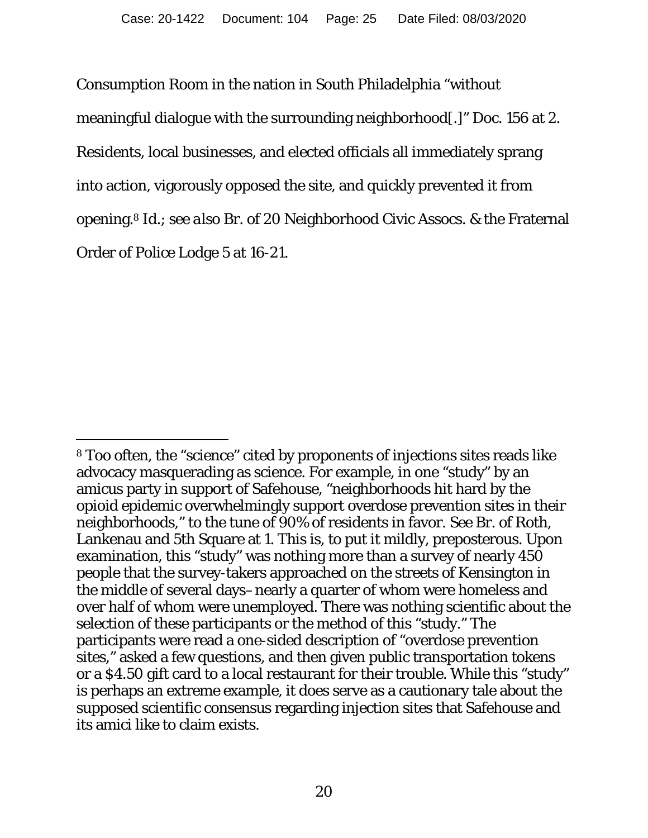Consumption Room in the nation in South Philadelphia "without meaningful dialogue with the surrounding neighborhood[.]" Doc. 156 at 2. Residents, local businesses, and elected officials all immediately sprang into action, vigorously opposed the site, and quickly prevented it from opening.8 *Id.*; *see also* Br. of 20 Neighborhood Civic Assocs. & the Fraternal Order of Police Lodge 5 at 16-21.

<sup>1</sup> 8 Too often, the "science" cited by proponents of injections sites reads like advocacy masquerading as science. For example, in one "study" by an amicus party in support of Safehouse, "neighborhoods hit hard by the opioid epidemic overwhelmingly support overdose prevention sites in their neighborhoods," to the tune of 90% of residents in favor. *See* Br. of Roth, Lankenau and 5th Square at 1. This is, to put it mildly, preposterous. Upon examination, this "study" was nothing more than a survey of nearly 450 people that the survey-takers approached on the streets of Kensington in the middle of several days–nearly a quarter of whom were homeless and over half of whom were unemployed. There was nothing scientific about the selection of these participants or the method of this "study." The participants were read a one-sided description of "overdose prevention sites," asked a few questions, and then given public transportation tokens or a \$4.50 gift card to a local restaurant for their trouble. While this "study" is perhaps an extreme example, it does serve as a cautionary tale about the supposed scientific consensus regarding injection sites that Safehouse and its amici like to claim exists.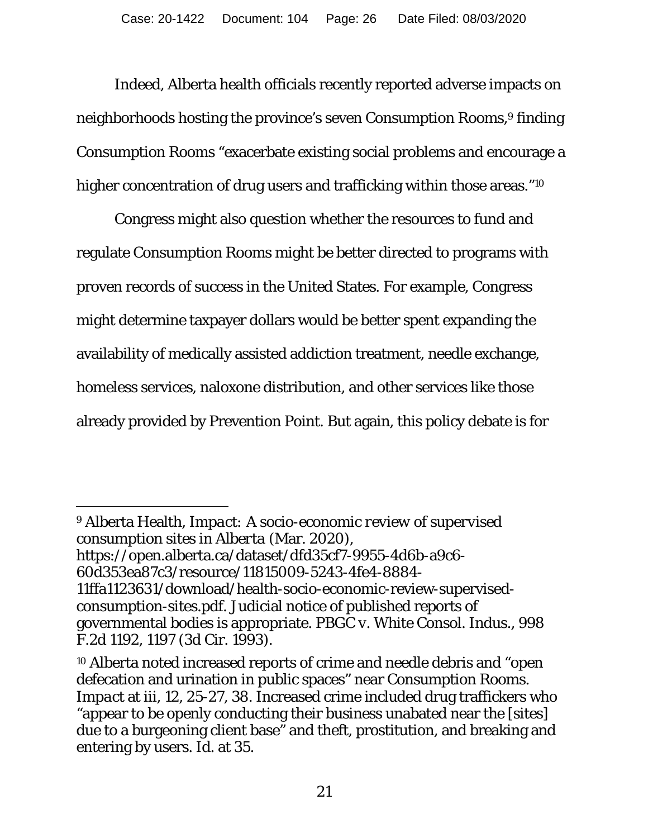Indeed, Alberta health officials recently reported adverse impacts on neighborhoods hosting the province's seven Consumption Rooms,<sup>9</sup> finding Consumption Rooms "exacerbate existing social problems and encourage a higher concentration of drug users and trafficking within those areas."<sup>10</sup>

 Congress might also question whether the resources to fund and regulate Consumption Rooms might be better directed to programs with proven records of success in the United States. For example, Congress might determine taxpayer dollars would be better spent expanding the availability of medically assisted addiction treatment, needle exchange, homeless services, naloxone distribution, and other services like those already provided by Prevention Point. But again, this policy debate is for

<sup>9</sup> Alberta Health, *Impact: A socio-economic review of supervised consumption sites in Alberta* (Mar. 2020), https://open.alberta.ca/dataset/dfd35cf7-9955-4d6b-a9c6-

<sup>60</sup>d353ea87c3/resource/11815009-5243-4fe4-8884-

<sup>11</sup>ffa1123631/download/health-socio-economic-review-supervisedconsumption-sites.pdf. Judicial notice of published reports of governmental bodies is appropriate. *PBGC v. White Consol. Indus.*, 998 F.2d 1192, 1197 (3d Cir. 1993).

<sup>10</sup> Alberta noted increased reports of crime and needle debris and "open defecation and urination in public spaces" near Consumption Rooms. *Impact* at iii, 12, 25-27, 38. Increased crime included drug traffickers who "appear to be openly conducting their business unabated near the [sites] due to a burgeoning client base" and theft, prostitution, and breaking and entering by users. *Id*. at 35.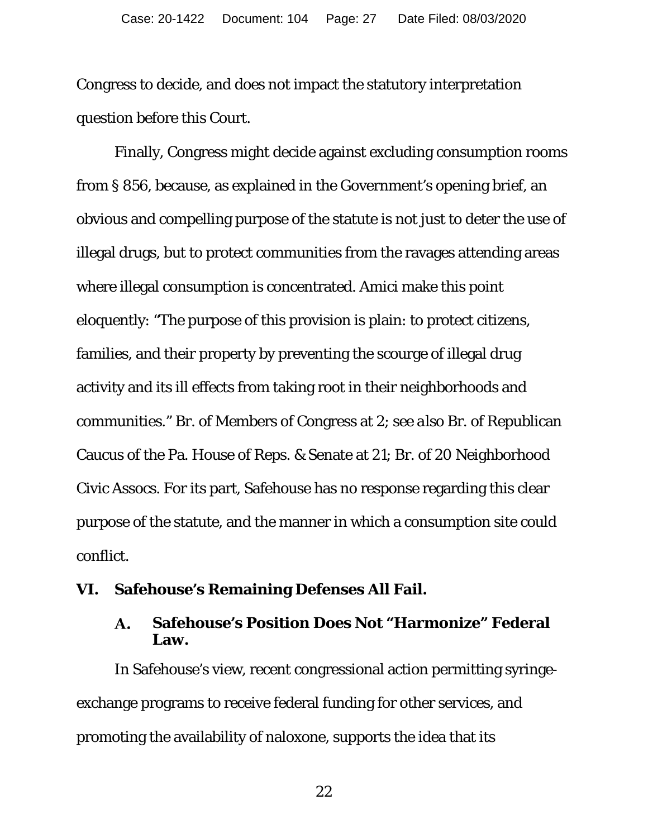Congress to decide, and does not impact the statutory interpretation question before this Court.

 Finally, Congress might decide against excluding consumption rooms from § 856, because, as explained in the Government's opening brief, an obvious and compelling purpose of the statute is not just to deter the use of illegal drugs, but to protect communities from the ravages attending areas where illegal consumption is concentrated. Amici make this point eloquently: "The purpose of this provision is plain: to protect citizens, families, and their property by preventing the scourge of illegal drug activity and its ill effects from taking root in their neighborhoods and communities." Br. of Members of Congress at 2; *see also* Br. of Republican Caucus of the Pa. House of Reps. & Senate at 21; Br. of 20 Neighborhood Civic Assocs. For its part, Safehouse has no response regarding this clear purpose of the statute, and the manner in which a consumption site could conflict.

#### **VI. Safehouse's Remaining Defenses All Fail.**

#### **Safehouse's Position Does Not "Harmonize" Federal**  A. **Law.**

In Safehouse's view, recent congressional action permitting syringeexchange programs to receive federal funding for other services, and promoting the availability of naloxone, supports the idea that its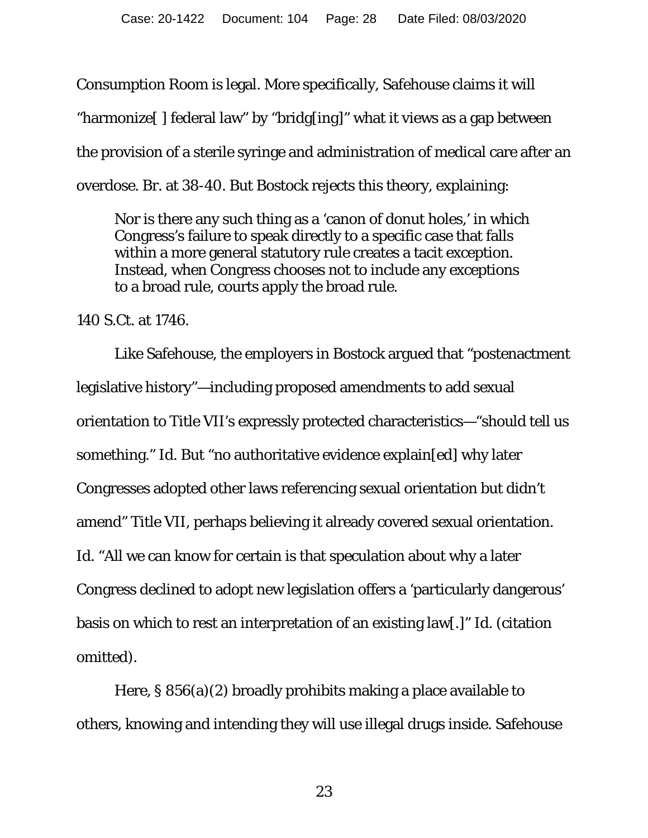Consumption Room is legal. More specifically, Safehouse claims it will "harmonize[ ] federal law" by "bridg[ing]" what it views as a gap between the provision of a sterile syringe and administration of medical care after an overdose. Br. at 38-40. But *Bostock* rejects this theory, explaining:

Nor is there any such thing as a 'canon of donut holes,' in which Congress's failure to speak directly to a specific case that falls within a more general statutory rule creates a tacit exception. Instead, when Congress chooses not to include any exceptions to a broad rule, courts apply the broad rule.

#### 140 S.Ct. at 1746.

Like Safehouse, the employers in *Bostock* argued that "postenactment legislative history"—including proposed amendments to add sexual orientation to Title VII's expressly protected characteristics—"should tell us something." *Id*. But "no authoritative evidence explain[ed] why later Congresses adopted other laws referencing sexual orientation but didn't amend" Title VII, perhaps believing it already covered sexual orientation. *Id.* "All we can know for certain is that speculation about why a later Congress declined to adopt new legislation offers a 'particularly dangerous' basis on which to rest an interpretation of an existing law[.]" *Id*. (citation omitted).

Here, § 856(a)(2) broadly prohibits making a place available to others, knowing and intending they will use illegal drugs inside. Safehouse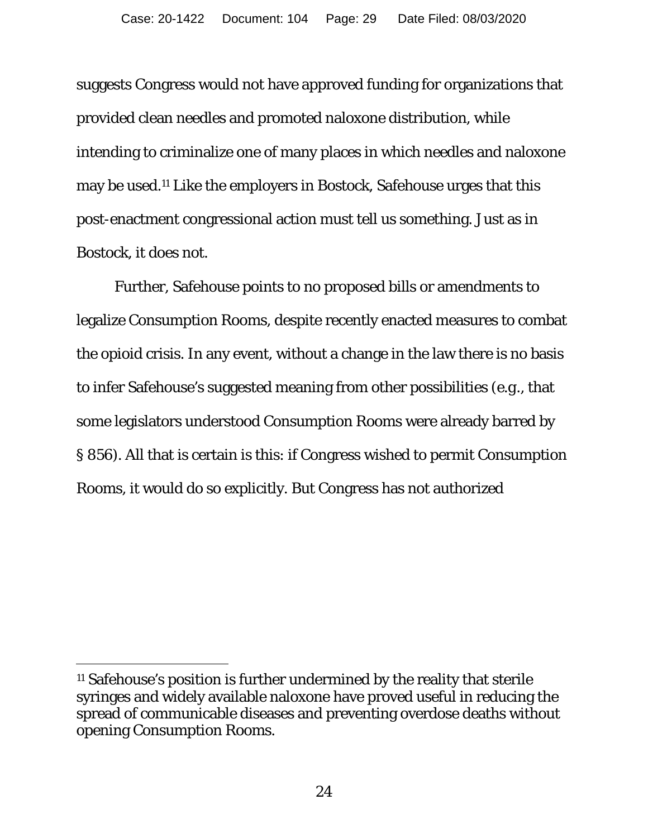suggests Congress would not have approved funding for organizations that provided clean needles and promoted naloxone distribution, while intending to criminalize one of many places in which needles and naloxone may be used.11 Like the employers in *Bostock,* Safehouse urges that this post-enactment congressional action must tell us something. Just as in *Bostock,* it does not.

Further, Safehouse points to no proposed bills or amendments to legalize Consumption Rooms, despite recently enacted measures to combat the opioid crisis. In any event, without a change in the law there is no basis to infer Safehouse's suggested meaning from other possibilities (*e.g.*, that some legislators understood Consumption Rooms were already barred by § 856). All that is certain is this: if Congress wished to permit Consumption Rooms, it would do so explicitly. But Congress has not authorized

 $\overline{a}$ 

<sup>11</sup> Safehouse's position is further undermined by the reality that sterile syringes and widely available naloxone have proved useful in reducing the spread of communicable diseases and preventing overdose deaths without opening Consumption Rooms.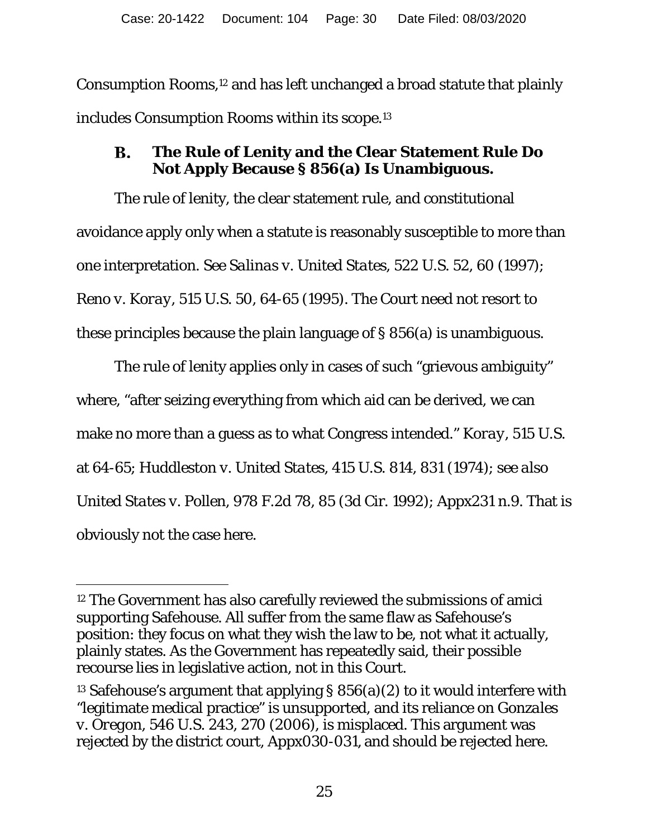Consumption Rooms,12 and has left unchanged a broad statute that plainly includes Consumption Rooms within its scope.13

#### **The Rule of Lenity and the Clear Statement Rule Do B. Not Apply Because § 856(a) Is Unambiguous.**

The rule of lenity, the clear statement rule, and constitutional avoidance apply only when a statute is reasonably susceptible to more than one interpretation. *See Salinas v. United States*, 522 U.S. 52, 60 (1997); *Reno v. Koray*, 515 U.S. 50, 64-65 (1995). The Court need not resort to these principles because the plain language of § 856(a) is unambiguous.

The rule of lenity applies only in cases of such "grievous ambiguity" where, "after seizing everything from which aid can be derived, we can make no more than a guess as to what Congress intended." *Koray*, 515 U.S. at 64-65; *Huddleston v. United States*, 415 U.S. 814, 831 (1974); *see also United States v. Pollen*, 978 F.2d 78, 85 (3d Cir. 1992); Appx231 n.9. That is obviously not the case here.

 $\overline{a}$ 

<sup>12</sup> The Government has also carefully reviewed the submissions of amici supporting Safehouse. All suffer from the same flaw as Safehouse's position: they focus on what they wish the law to be, not what it actually, plainly states. As the Government has repeatedly said, their possible recourse lies in legislative action, not in this Court.

<sup>&</sup>lt;sup>13</sup> Safehouse's argument that applying §  $856(a)(2)$  to it would interfere with "legitimate medical practice" is unsupported, and its reliance on *Gonzales v. Oregon*, 546 U.S. 243, 270 (2006), is misplaced. This argument was rejected by the district court, Appx030-031, and should be rejected here.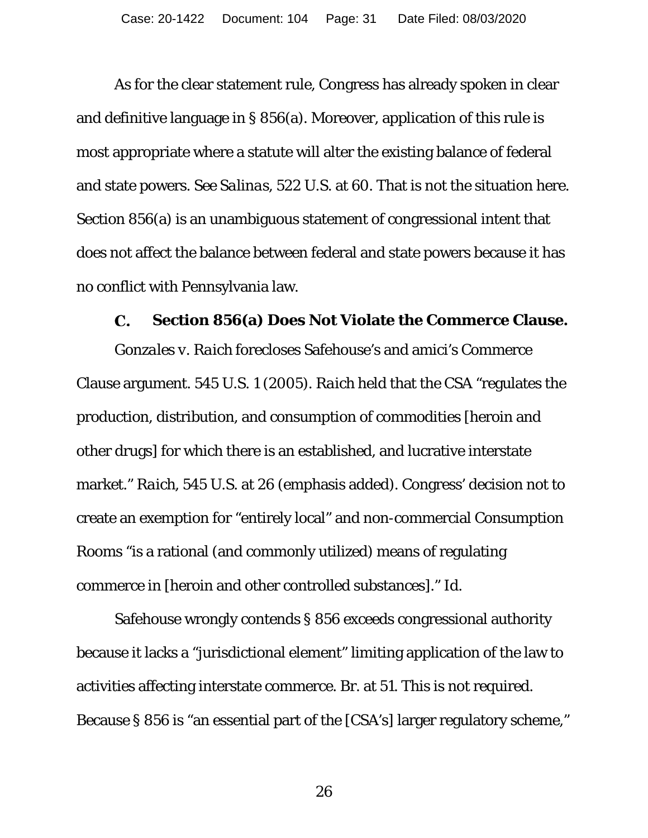As for the clear statement rule, Congress has already spoken in clear and definitive language in § 856(a). Moreover, application of this rule is most appropriate where a statute will alter the existing balance of federal and state powers. *See Salinas*, 522 U.S. at 60. That is not the situation here. Section 856(a) is an unambiguous statement of congressional intent that does not affect the balance between federal and state powers because it has no conflict with Pennsylvania law.

#### С. **Section 856(a) Does Not Violate the Commerce Clause.**

*Gonzales v. Raich* forecloses Safehouse's and amici's Commerce Clause argument. 545 U.S. 1 (2005). *Raich* held that the CSA "regulates the production, distribution, and *consumption* of commodities [heroin and other drugs] for which there is an established, and lucrative interstate market." *Raich*, 545 U.S. at 26 (emphasis added). Congress' decision not to create an exemption for "entirely local" and non-commercial Consumption Rooms "is a rational (and commonly utilized) means of regulating commerce in [heroin and other controlled substances]." *Id.* 

Safehouse wrongly contends § 856 exceeds congressional authority because it lacks a "jurisdictional element" limiting application of the law to activities affecting interstate commerce. Br. at 51. This is not required. Because § 856 is "an essential part of the [CSA's] larger regulatory scheme,"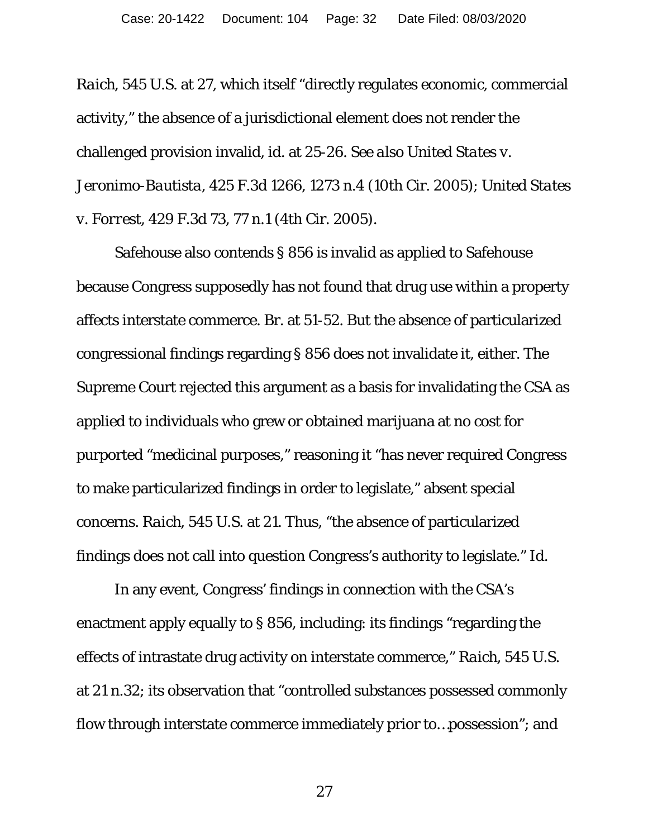*Raich*, 545 U.S. at 27, which itself "directly regulates economic, commercial activity," the absence of a jurisdictional element does not render the challenged provision invalid, *id*. at 25-26. *See also United States v. Jeronimo-Bautista*, 425 F.3d 1266, 1273 n.4 (10th Cir. 2005); *United States v. Forrest*, 429 F.3d 73, 77 n.1 (4th Cir. 2005).

Safehouse also contends § 856 is invalid as applied to Safehouse because Congress supposedly has not found that drug use within a property affects interstate commerce. Br. at 51-52. But the absence of particularized congressional findings regarding § 856 does not invalidate it, either. The Supreme Court rejected this argument as a basis for invalidating the CSA as applied to individuals who grew or obtained marijuana at no cost for purported "medicinal purposes," reasoning it "has never required Congress to make particularized findings in order to legislate," absent special concerns. *Raich*, 545 U.S. at 21. Thus, "the absence of particularized findings does not call into question Congress's authority to legislate." *Id.*

In any event, Congress' findings in connection with the CSA's enactment apply equally to § 856, including: its findings "regarding the effects of intrastate drug activity on interstate commerce," *Raich*, 545 U.S. at 21 n.32; its observation that "controlled substances possessed commonly flow through interstate commerce immediately prior to…possession"; and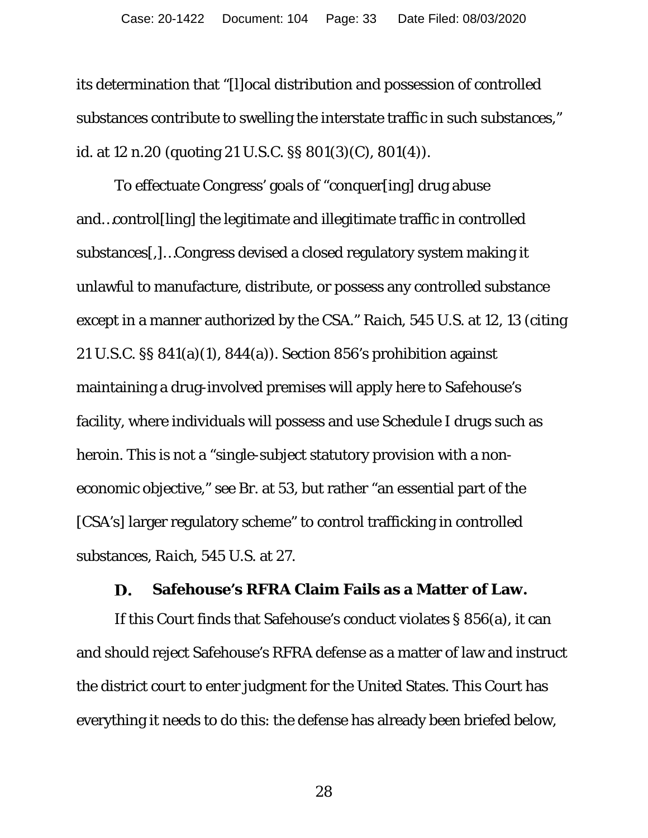its determination that "[l]ocal distribution and possession of controlled substances contribute to swelling the interstate traffic in such substances," *id.* at 12 n.20 (quoting 21 U.S.C. §§ 801(3)(C), 801(4)).

To effectuate Congress' goals of "conquer[ing] drug abuse and…control[ling] the legitimate and illegitimate traffic in controlled substances[,]…Congress devised a closed regulatory system making it unlawful to manufacture, distribute, or possess any controlled substance except in a manner authorized by the CSA." *Raich*, 545 U.S. at 12, 13 (citing 21 U.S.C. §§ 841(a)(1), 844(a)). Section 856's prohibition against maintaining a drug-involved premises will apply here to Safehouse's facility, where individuals will possess and use Schedule I drugs such as heroin. This is not a "single-subject statutory provision with a noneconomic objective," *see* Br. at 53, but rather "an essential part of the [CSA's] larger regulatory scheme" to control trafficking in controlled substances, *Raich*, 545 U.S. at 27.

#### **Safehouse's RFRA Claim Fails as a Matter of Law.**  D.

If this Court finds that Safehouse's conduct violates § 856(a), it can and should reject Safehouse's RFRA defense as a matter of law and instruct the district court to enter judgment for the United States. This Court has everything it needs to do this: the defense has already been briefed below,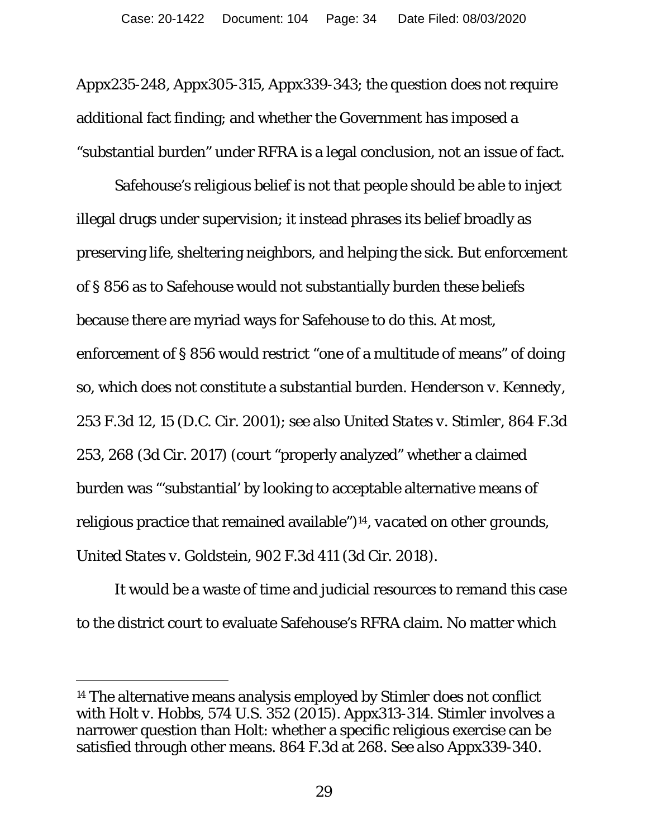Appx235-248, Appx305-315, Appx339-343; the question does not require additional fact finding; and whether the Government has imposed a "substantial burden" under RFRA is a legal conclusion, not an issue of fact.

Safehouse's religious belief is not that people should be able to inject illegal drugs under supervision; it instead phrases its belief broadly as preserving life, sheltering neighbors, and helping the sick. But enforcement of § 856 as to Safehouse would not substantially burden these beliefs because there are myriad ways for Safehouse to do this. At most, enforcement of § 856 would restrict "one of a multitude of means" of doing so, which does not constitute a substantial burden. *Henderson v. Kennedy*, 253 F.3d 12, 15 (D.C. Cir. 2001); *see also United States v. Stimler*, 864 F.3d 253, 268 (3d Cir. 2017) (court "properly analyzed" whether a claimed burden was "'substantial' by looking to acceptable alternative means of religious practice that remained available")14, *vacated on other grounds*, *United States v. Goldstein*, 902 F.3d 411 (3d Cir. 2018).

It would be a waste of time and judicial resources to remand this case to the district court to evaluate Safehouse's RFRA claim. No matter which

<sup>14</sup> The alternative means analysis employed by *Stimler* does not conflict with *Holt v. Hobbs*, 574 U.S. 352 (2015). Appx313-314. *Stimler* involves a narrower question than *Holt*: whether a specific religious exercise can be satisfied through other means. 864 F.3d at 268. *See also* Appx339-340.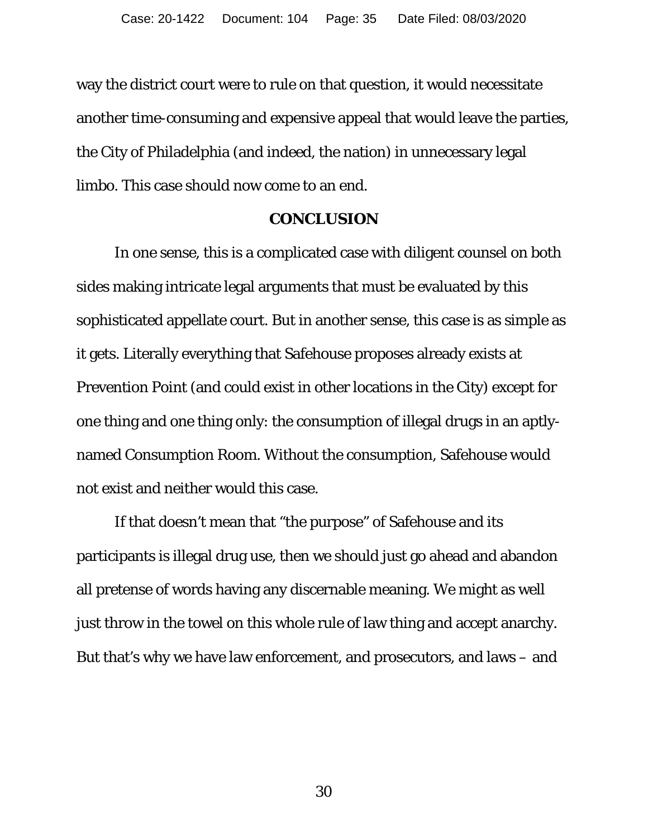way the district court were to rule on that question, it would necessitate another time-consuming and expensive appeal that would leave the parties, the City of Philadelphia (and indeed, the nation) in unnecessary legal limbo. This case should now come to an end.

#### **CONCLUSION**

In one sense, this is a complicated case with diligent counsel on both sides making intricate legal arguments that must be evaluated by this sophisticated appellate court. But in another sense, this case is as simple as it gets. Literally everything that Safehouse proposes already exists at Prevention Point (and could exist in other locations in the City) except for one thing and one thing only: the consumption of illegal drugs in an aptlynamed Consumption Room. Without the consumption, Safehouse would not exist and neither would this case.

If that doesn't mean that "the purpose" of Safehouse and its participants is illegal drug use, then we should just go ahead and abandon all pretense of words having any discernable meaning. We might as well just throw in the towel on this whole rule of law thing and accept anarchy. But that's why we have law enforcement, and prosecutors, and laws – and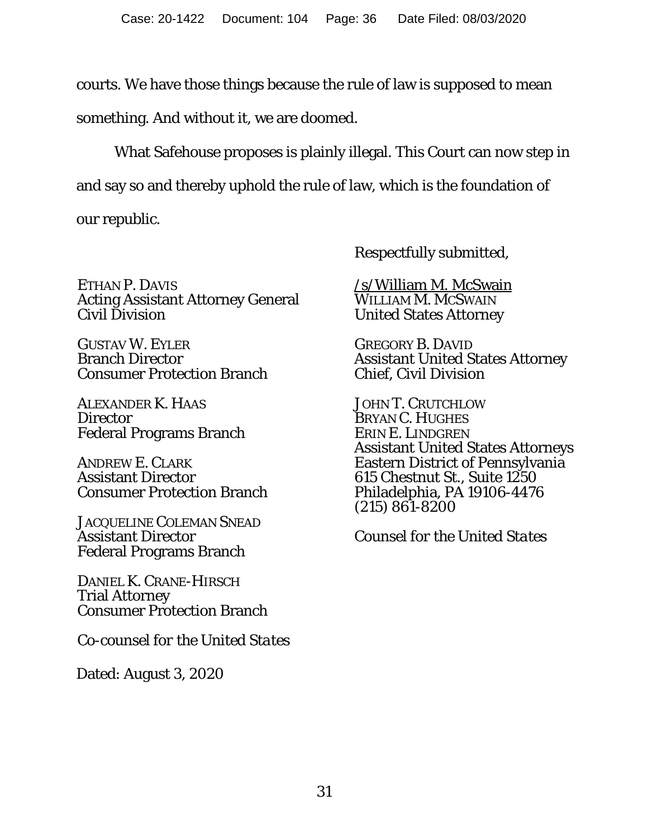courts. We have those things because the rule of law is supposed to mean

something. And without it, we are doomed.

What Safehouse proposes is plainly illegal. This Court can now step in and say so and thereby uphold the rule of law, which is the foundation of

our republic.

ETHAN P. DAVIS Acting Assistant Attorney General Civil Division

GUSTAV W. EYLER Branch Director Consumer Protection Branch

ALEXANDER K. HAAS **Director** Federal Programs Branch

ANDREW E. CLARK Assistant Director Consumer Protection Branch

JACQUELINE COLEMAN SNEAD Assistant Director Federal Programs Branch

DANIEL K. CRANE-HIRSCH Trial Attorney Consumer Protection Branch

*Co-counsel for the United States*

Dated: August 3, 2020

Respectfully submitted,

/s/William M. McSwain WILLIAM M. MCSWAIN United States Attorney

GREGORY B. DAVID Assistant United States Attorney Chief, Civil Division

JOHN T. CRUTCHLOW BRYAN C. HUGHES ERIN E. LINDGREN Assistant United States Attorneys Eastern District of Pennsylvania 615 Chestnut St., Suite 1250 Philadelphia, PA 19106-4476 (215) 861-8200

*Counsel for the United States*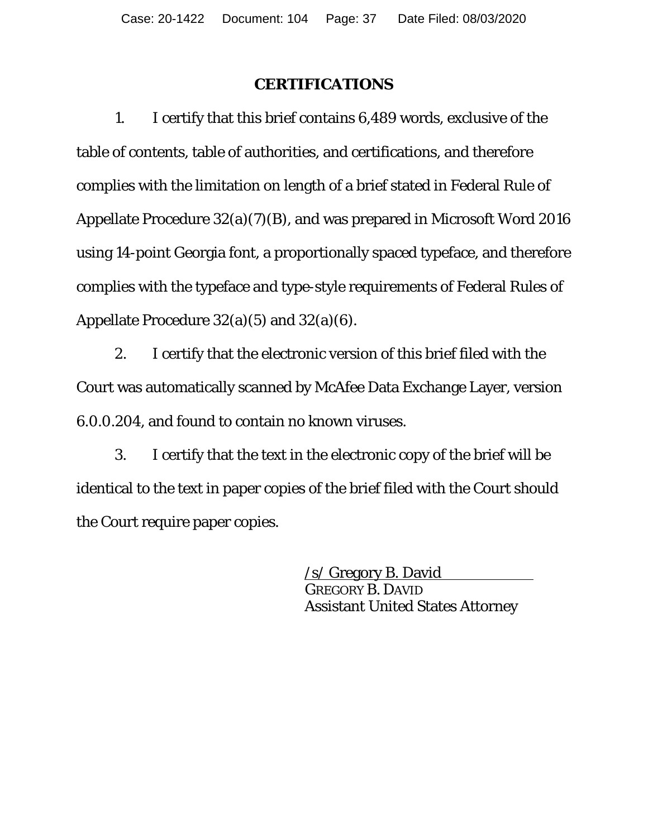#### **CERTIFICATIONS**

 1. I certify that this brief contains 6,489 words, exclusive of the table of contents, table of authorities, and certifications, and therefore complies with the limitation on length of a brief stated in Federal Rule of Appellate Procedure 32(a)(7)(B), and was prepared in Microsoft Word 2016 using 14-point Georgia font, a proportionally spaced typeface, and therefore complies with the typeface and type-style requirements of Federal Rules of Appellate Procedure 32(a)(5) and 32(a)(6).

 2. I certify that the electronic version of this brief filed with the Court was automatically scanned by McAfee Data Exchange Layer, version 6.0.0.204, and found to contain no known viruses.

3. I certify that the text in the electronic copy of the brief will be identical to the text in paper copies of the brief filed with the Court should the Court require paper copies.

> /s/ Gregory B. David GREGORY B. DAVID Assistant United States Attorney